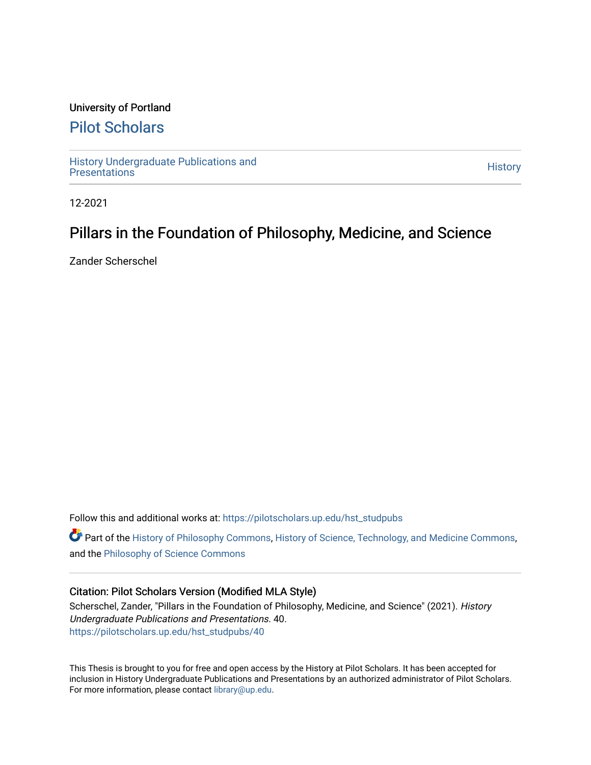## University of Portland

## [Pilot Scholars](https://pilotscholars.up.edu/)

[History Undergraduate Publications and](https://pilotscholars.up.edu/hst_studpubs) Thistory Undergraduate Publications and<br>[Presentations](https://pilotscholars.up.edu/hst_studpubs) History

12-2021

# Pillars in the Foundation of Philosophy, Medicine, and Science

Zander Scherschel

Follow this and additional works at: [https://pilotscholars.up.edu/hst\\_studpubs](https://pilotscholars.up.edu/hst_studpubs?utm_source=pilotscholars.up.edu%2Fhst_studpubs%2F40&utm_medium=PDF&utm_campaign=PDFCoverPages) 

Part of the [History of Philosophy Commons,](https://network.bepress.com/hgg/discipline/531?utm_source=pilotscholars.up.edu%2Fhst_studpubs%2F40&utm_medium=PDF&utm_campaign=PDFCoverPages) [History of Science, Technology, and Medicine Commons,](https://network.bepress.com/hgg/discipline/500?utm_source=pilotscholars.up.edu%2Fhst_studpubs%2F40&utm_medium=PDF&utm_campaign=PDFCoverPages) and the [Philosophy of Science Commons](https://network.bepress.com/hgg/discipline/536?utm_source=pilotscholars.up.edu%2Fhst_studpubs%2F40&utm_medium=PDF&utm_campaign=PDFCoverPages)

#### Citation: Pilot Scholars Version (Modified MLA Style)

Scherschel, Zander, "Pillars in the Foundation of Philosophy, Medicine, and Science" (2021). History Undergraduate Publications and Presentations. 40. [https://pilotscholars.up.edu/hst\\_studpubs/40](https://pilotscholars.up.edu/hst_studpubs/40?utm_source=pilotscholars.up.edu%2Fhst_studpubs%2F40&utm_medium=PDF&utm_campaign=PDFCoverPages) 

This Thesis is brought to you for free and open access by the History at Pilot Scholars. It has been accepted for inclusion in History Undergraduate Publications and Presentations by an authorized administrator of Pilot Scholars. For more information, please contact [library@up.edu.](mailto:library@up.edu)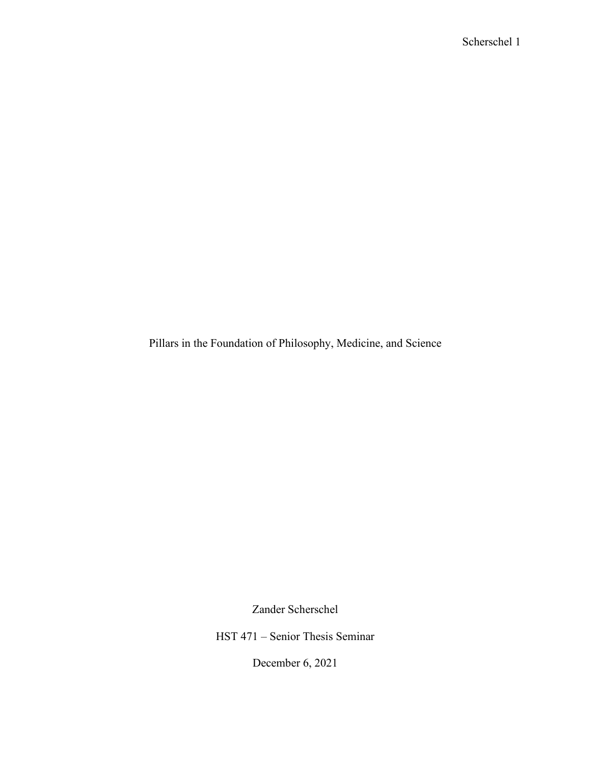Pillars in the Foundation of Philosophy, Medicine, and Science

Zander Scherschel

HST 471 – Senior Thesis Seminar

December 6, 2021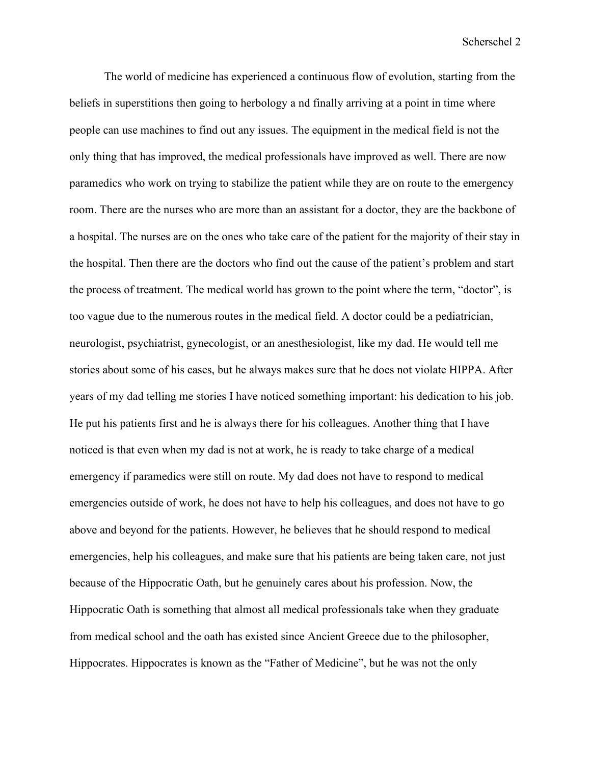The world of medicine has experienced a continuous flow of evolution, starting from the beliefs in superstitions then going to herbology a nd finally arriving at a point in time where people can use machines to find out any issues. The equipment in the medical field is not the only thing that has improved, the medical professionals have improved as well. There are now paramedics who work on trying to stabilize the patient while they are on route to the emergency room. There are the nurses who are more than an assistant for a doctor, they are the backbone of a hospital. The nurses are on the ones who take care of the patient for the majority of their stay in the hospital. Then there are the doctors who find out the cause of the patient's problem and start the process of treatment. The medical world has grown to the point where the term, "doctor", is too vague due to the numerous routes in the medical field. A doctor could be a pediatrician, neurologist, psychiatrist, gynecologist, or an anesthesiologist, like my dad. He would tell me stories about some of his cases, but he always makes sure that he does not violate HIPPA. After years of my dad telling me stories I have noticed something important: his dedication to his job. He put his patients first and he is always there for his colleagues. Another thing that I have noticed is that even when my dad is not at work, he is ready to take charge of a medical emergency if paramedics were still on route. My dad does not have to respond to medical emergencies outside of work, he does not have to help his colleagues, and does not have to go above and beyond for the patients. However, he believes that he should respond to medical emergencies, help his colleagues, and make sure that his patients are being taken care, not just because of the Hippocratic Oath, but he genuinely cares about his profession. Now, the Hippocratic Oath is something that almost all medical professionals take when they graduate from medical school and the oath has existed since Ancient Greece due to the philosopher, Hippocrates. Hippocrates is known as the "Father of Medicine", but he was not the only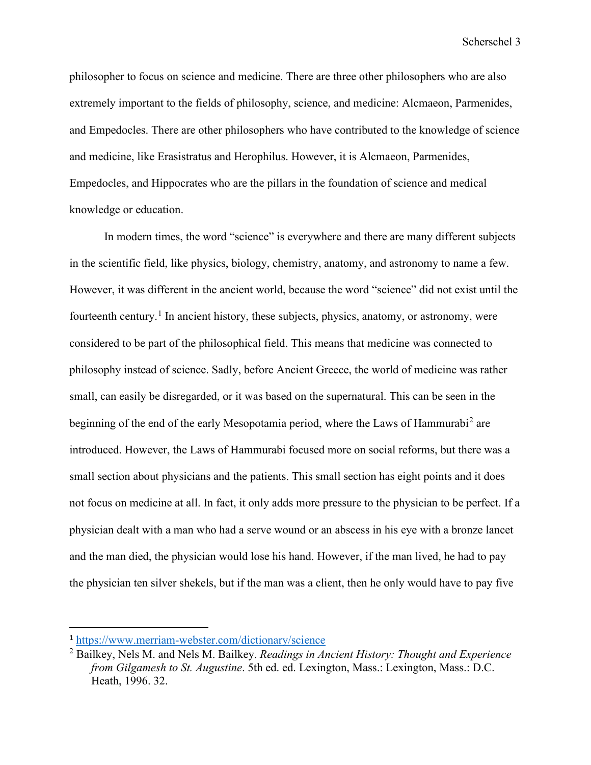philosopher to focus on science and medicine. There are three other philosophers who are also extremely important to the fields of philosophy, science, and medicine: Alcmaeon, Parmenides, and Empedocles. There are other philosophers who have contributed to the knowledge of science and medicine, like Erasistratus and Herophilus. However, it is Alcmaeon, Parmenides, Empedocles, and Hippocrates who are the pillars in the foundation of science and medical knowledge or education.

In modern times, the word "science" is everywhere and there are many different subjects in the scientific field, like physics, biology, chemistry, anatomy, and astronomy to name a few. However, it was different in the ancient world, because the word "science" did not exist until the fourteenth century.<sup>[1](#page-3-0)</sup> In ancient history, these subjects, physics, anatomy, or astronomy, were considered to be part of the philosophical field. This means that medicine was connected to philosophy instead of science. Sadly, before Ancient Greece, the world of medicine was rather small, can easily be disregarded, or it was based on the supernatural. This can be seen in the beginning of the end of the early Mesopotamia period, where the Laws of Hammurabi<sup>[2](#page-3-1)</sup> are introduced. However, the Laws of Hammurabi focused more on social reforms, but there was a small section about physicians and the patients. This small section has eight points and it does not focus on medicine at all. In fact, it only adds more pressure to the physician to be perfect. If a physician dealt with a man who had a serve wound or an abscess in his eye with a bronze lancet and the man died, the physician would lose his hand. However, if the man lived, he had to pay the physician ten silver shekels, but if the man was a client, then he only would have to pay five

<span id="page-3-0"></span><sup>1</sup> <https://www.merriam-webster.com/dictionary/science>

<span id="page-3-1"></span><sup>2</sup> Bailkey, Nels M. and Nels M. Bailkey. *Readings in Ancient History: Thought and Experience from Gilgamesh to St. Augustine*. 5th ed. ed. Lexington, Mass.: Lexington, Mass.: D.C. Heath, 1996. 32.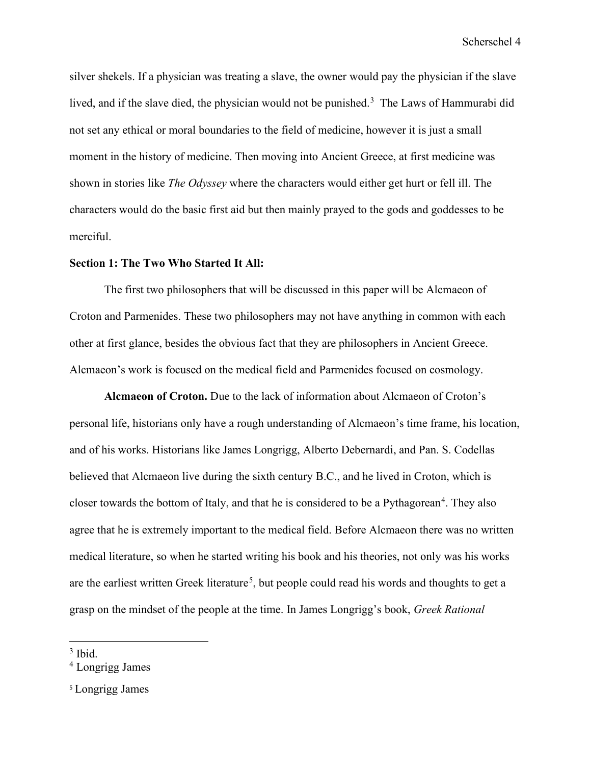silver shekels. If a physician was treating a slave, the owner would pay the physician if the slave lived, and if the slave died, the physician would not be punished.<sup>[3](#page-4-0)</sup> The Laws of Hammurabi did not set any ethical or moral boundaries to the field of medicine, however it is just a small moment in the history of medicine. Then moving into Ancient Greece, at first medicine was shown in stories like *The Odyssey* where the characters would either get hurt or fell ill. The characters would do the basic first aid but then mainly prayed to the gods and goddesses to be merciful.

#### **Section 1: The Two Who Started It All:**

The first two philosophers that will be discussed in this paper will be Alcmaeon of Croton and Parmenides. These two philosophers may not have anything in common with each other at first glance, besides the obvious fact that they are philosophers in Ancient Greece. Alcmaeon's work is focused on the medical field and Parmenides focused on cosmology.

**Alcmaeon of Croton.** Due to the lack of information about Alcmaeon of Croton's personal life, historians only have a rough understanding of Alcmaeon's time frame, his location, and of his works. Historians like James Longrigg, Alberto Debernardi, and Pan. S. Codellas believed that Alcmaeon live during the sixth century B.C., and he lived in Croton, which is closer towards the bottom of Italy, and that he is considered to be a Pythagorean<sup>[4](#page-4-1)</sup>. They also agree that he is extremely important to the medical field. Before Alcmaeon there was no written medical literature, so when he started writing his book and his theories, not only was his works are the earliest written Greek literature<sup>[5](#page-4-2)</sup>, but people could read his words and thoughts to get a grasp on the mindset of the people at the time. In James Longrigg's book, *Greek Rational* 

<span id="page-4-0"></span> $3$  Ibid.

<span id="page-4-1"></span><sup>4</sup> Longrigg James

<span id="page-4-2"></span><sup>5</sup> Longrigg James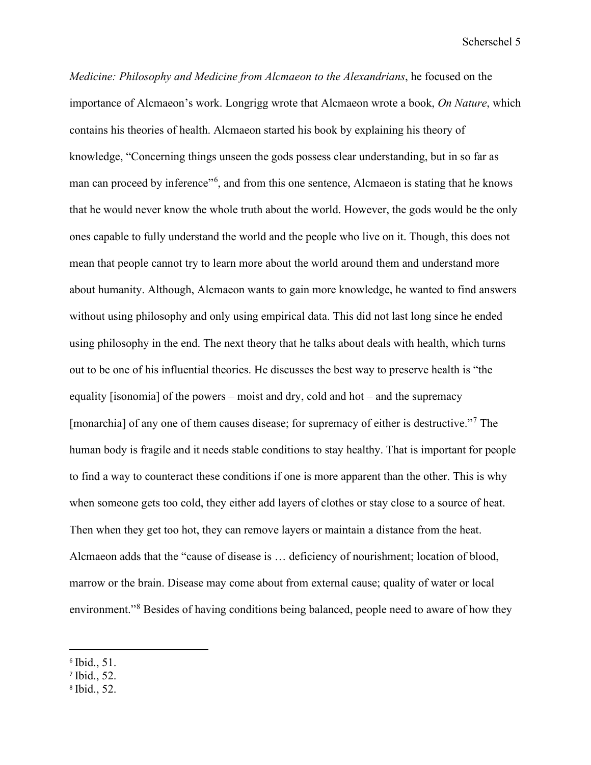*Medicine: Philosophy and Medicine from Alcmaeon to the Alexandrians*, he focused on the importance of Alcmaeon's work. Longrigg wrote that Alcmaeon wrote a book, *On Nature*, which contains his theories of health. Alcmaeon started his book by explaining his theory of knowledge, "Concerning things unseen the gods possess clear understanding, but in so far as man can proceed by inference"<sup>[6](#page-5-0)</sup>, and from this one sentence, Alcmaeon is stating that he knows that he would never know the whole truth about the world. However, the gods would be the only ones capable to fully understand the world and the people who live on it. Though, this does not mean that people cannot try to learn more about the world around them and understand more about humanity. Although, Alcmaeon wants to gain more knowledge, he wanted to find answers without using philosophy and only using empirical data. This did not last long since he ended using philosophy in the end. The next theory that he talks about deals with health, which turns out to be one of his influential theories. He discusses the best way to preserve health is "the equality [isonomia] of the powers – moist and dry, cold and hot – and the supremacy [monarchia] of any one of them causes disease; for supremacy of either is destructive."<sup>[7](#page-5-1)</sup> The human body is fragile and it needs stable conditions to stay healthy. That is important for people to find a way to counteract these conditions if one is more apparent than the other. This is why when someone gets too cold, they either add layers of clothes or stay close to a source of heat. Then when they get too hot, they can remove layers or maintain a distance from the heat. Alcmaeon adds that the "cause of disease is … deficiency of nourishment; location of blood, marrow or the brain. Disease may come about from external cause; quality of water or local environment."[8](#page-5-2) Besides of having conditions being balanced, people need to aware of how they

<span id="page-5-0"></span><sup>6</sup> Ibid., 51.

<span id="page-5-1"></span><sup>7</sup> Ibid., 52.

<span id="page-5-2"></span><sup>8</sup> Ibid., 52.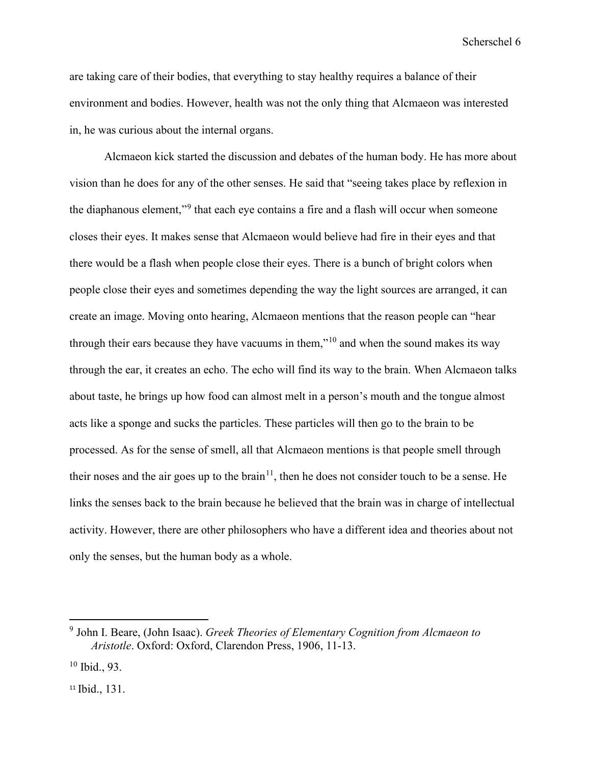are taking care of their bodies, that everything to stay healthy requires a balance of their environment and bodies. However, health was not the only thing that Alcmaeon was interested in, he was curious about the internal organs.

Alcmaeon kick started the discussion and debates of the human body. He has more about vision than he does for any of the other senses. He said that "seeing takes place by reflexion in the diaphanous element,"[9](#page-6-0) that each eye contains a fire and a flash will occur when someone closes their eyes. It makes sense that Alcmaeon would believe had fire in their eyes and that there would be a flash when people close their eyes. There is a bunch of bright colors when people close their eyes and sometimes depending the way the light sources are arranged, it can create an image. Moving onto hearing, Alcmaeon mentions that the reason people can "hear through their ears because they have vacuums in them,"[10](#page-6-1) and when the sound makes its way through the ear, it creates an echo. The echo will find its way to the brain. When Alcmaeon talks about taste, he brings up how food can almost melt in a person's mouth and the tongue almost acts like a sponge and sucks the particles. These particles will then go to the brain to be processed. As for the sense of smell, all that Alcmaeon mentions is that people smell through their noses and the air goes up to the brain<sup>11</sup>, then he does not consider touch to be a sense. He links the senses back to the brain because he believed that the brain was in charge of intellectual activity. However, there are other philosophers who have a different idea and theories about not only the senses, but the human body as a whole.

<span id="page-6-0"></span><sup>9</sup> John I. Beare, (John Isaac). *Greek Theories of Elementary Cognition from Alcmaeon to Aristotle*. Oxford: Oxford, Clarendon Press, 1906, 11-13.

<span id="page-6-1"></span> $10$  Ibid., 93.

<span id="page-6-2"></span><sup>&</sup>lt;sup>11</sup> Ibid., 131.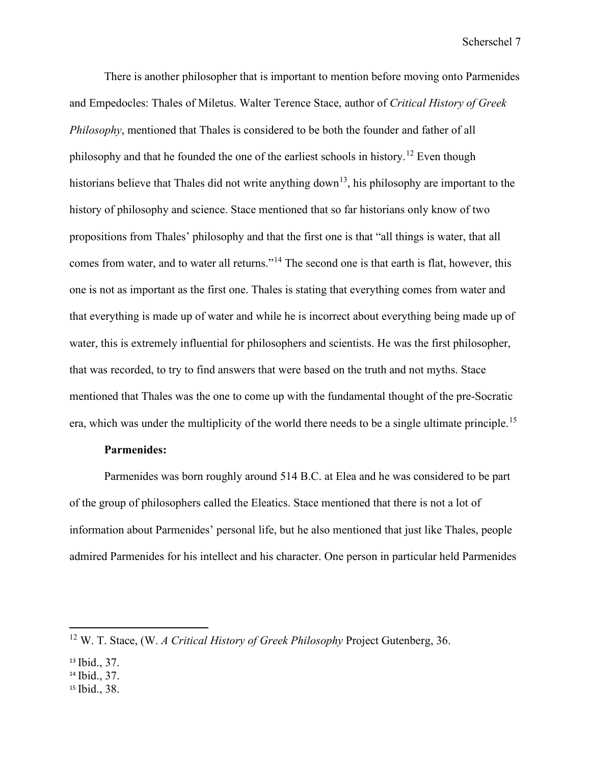There is another philosopher that is important to mention before moving onto Parmenides and Empedocles: Thales of Miletus. Walter Terence Stace, author of *Critical History of Greek Philosophy*, mentioned that Thales is considered to be both the founder and father of all philosophy and that he founded the one of the earliest schools in history.<sup>[12](#page-7-0)</sup> Even though historians believe that Thales did not write anything down<sup>[13](#page-7-1)</sup>, his philosophy are important to the history of philosophy and science. Stace mentioned that so far historians only know of two propositions from Thales' philosophy and that the first one is that "all things is water, that all comes from water, and to water all returns."<sup>[14](#page-7-2)</sup> The second one is that earth is flat, however, this one is not as important as the first one. Thales is stating that everything comes from water and that everything is made up of water and while he is incorrect about everything being made up of water, this is extremely influential for philosophers and scientists. He was the first philosopher, that was recorded, to try to find answers that were based on the truth and not myths. Stace mentioned that Thales was the one to come up with the fundamental thought of the pre-Socratic era, which was under the multiplicity of the world there needs to be a single ultimate principle.<sup>15</sup>

#### **Parmenides:**

Parmenides was born roughly around 514 B.C. at Elea and he was considered to be part of the group of philosophers called the Eleatics. Stace mentioned that there is not a lot of information about Parmenides' personal life, but he also mentioned that just like Thales, people admired Parmenides for his intellect and his character. One person in particular held Parmenides

<span id="page-7-0"></span><sup>12</sup> W. T. Stace, (W. *A Critical History of Greek Philosophy* Project Gutenberg, 36.

<span id="page-7-1"></span><sup>13</sup> Ibid., 37.

<span id="page-7-2"></span><sup>14</sup> Ibid., 37.

<span id="page-7-3"></span><sup>15</sup> Ibid., 38.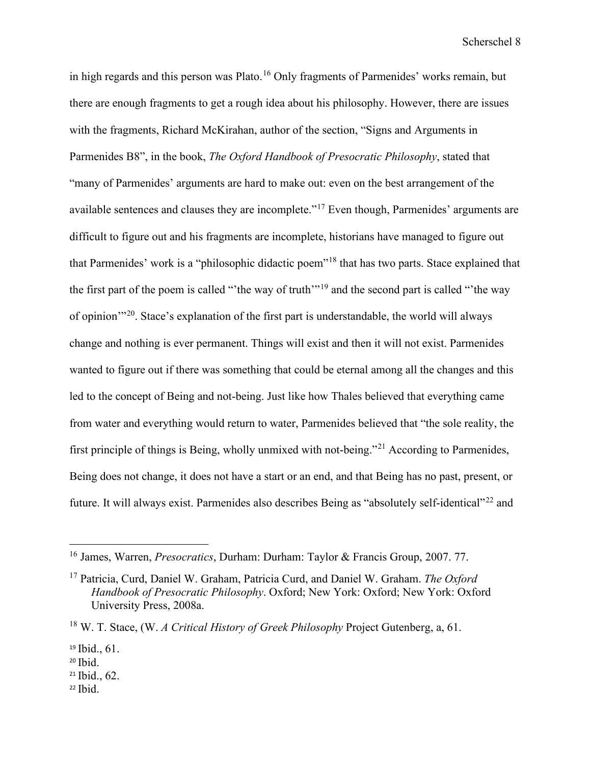in high regards and this person was Plato.<sup>16</sup> Only fragments of Parmenides' works remain, but there are enough fragments to get a rough idea about his philosophy. However, there are issues with the fragments, Richard McKirahan, author of the section, "Signs and Arguments in Parmenides B8", in the book, *The Oxford Handbook of Presocratic Philosophy*, stated that "many of Parmenides' arguments are hard to make out: even on the best arrangement of the available sentences and clauses they are incomplete."<sup>17</sup> Even though, Parmenides' arguments are difficult to figure out and his fragments are incomplete, historians have managed to figure out that Parmenides' work is a "philosophic didactic poem"[18](#page-8-2) that has two parts. Stace explained that the first part of the poem is called "'the way of truth'"[19](#page-8-3) and the second part is called "'the way of opinion'"[20.](#page-8-4) Stace's explanation of the first part is understandable, the world will always change and nothing is ever permanent. Things will exist and then it will not exist. Parmenides wanted to figure out if there was something that could be eternal among all the changes and this led to the concept of Being and not-being. Just like how Thales believed that everything came from water and everything would return to water, Parmenides believed that "the sole reality, the first principle of things is Being, wholly unmixed with not-being."[21](#page-8-5) According to Parmenides, Being does not change, it does not have a start or an end, and that Being has no past, present, or future. It will always exist. Parmenides also describes Being as "absolutely self-identical"[22](#page-8-6) and

- <span id="page-8-5"></span><sup>21</sup> Ibid., 62.
- <span id="page-8-6"></span> $22$  Ibid.

<span id="page-8-0"></span><sup>16</sup> James, Warren, *Presocratics*, Durham: Durham: Taylor & Francis Group, 2007. 77.

<span id="page-8-1"></span><sup>17</sup> Patricia, Curd, Daniel W. Graham, Patricia Curd, and Daniel W. Graham. *The Oxford Handbook of Presocratic Philosophy*. Oxford; New York: Oxford; New York: Oxford University Press, 2008a.

<span id="page-8-2"></span><sup>18</sup> W. T. Stace, (W. *A Critical History of Greek Philosophy* Project Gutenberg, a, 61.

<span id="page-8-3"></span><sup>19</sup> Ibid., 61.

<span id="page-8-4"></span> $20$  Ibid.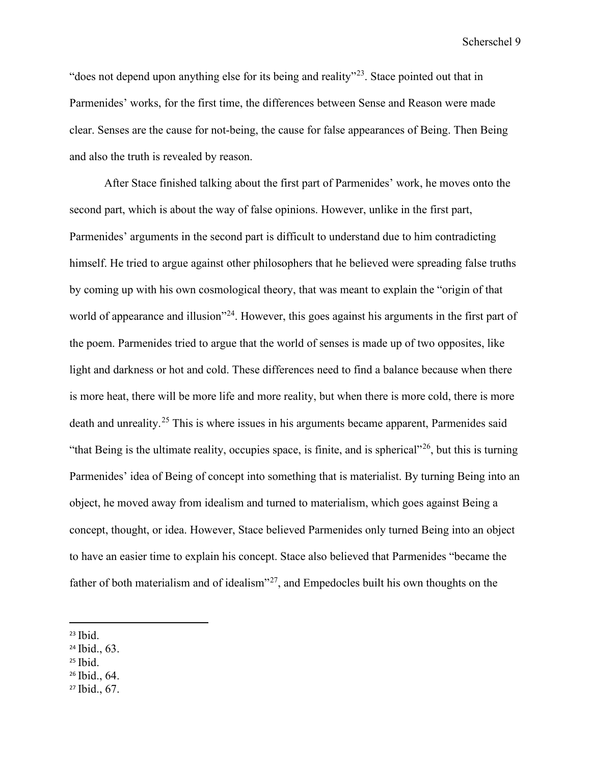"does not depend upon anything else for its being and reality"[23.](#page-9-0) Stace pointed out that in Parmenides' works, for the first time, the differences between Sense and Reason were made clear. Senses are the cause for not-being, the cause for false appearances of Being. Then Being and also the truth is revealed by reason.

After Stace finished talking about the first part of Parmenides' work, he moves onto the second part, which is about the way of false opinions. However, unlike in the first part, Parmenides' arguments in the second part is difficult to understand due to him contradicting himself. He tried to argue against other philosophers that he believed were spreading false truths by coming up with his own cosmological theory, that was meant to explain the "origin of that world of appearance and illusion"<sup>[24](#page-9-1)</sup>. However, this goes against his arguments in the first part of the poem. Parmenides tried to argue that the world of senses is made up of two opposites, like light and darkness or hot and cold. These differences need to find a balance because when there is more heat, there will be more life and more reality, but when there is more cold, there is more death and unreality.<sup>[25](#page-9-2)</sup> This is where issues in his arguments became apparent, Parmenides said "that Being is the ultimate reality, occupies space, is finite, and is spherical"<sup>[26](#page-9-3)</sup>, but this is turning Parmenides' idea of Being of concept into something that is materialist. By turning Being into an object, he moved away from idealism and turned to materialism, which goes against Being a concept, thought, or idea. However, Stace believed Parmenides only turned Being into an object to have an easier time to explain his concept. Stace also believed that Parmenides "became the father of both materialism and of idealism $^{27}$  $^{27}$  $^{27}$ , and Empedocles built his own thoughts on the

- <span id="page-9-1"></span><sup>24</sup> Ibid., 63.
- <span id="page-9-3"></span><span id="page-9-2"></span> $25$  Ibid.
- <sup>26</sup> Ibid., 64.
- <span id="page-9-4"></span><sup>27</sup> Ibid., 67.

<span id="page-9-0"></span> $23$  Ibid.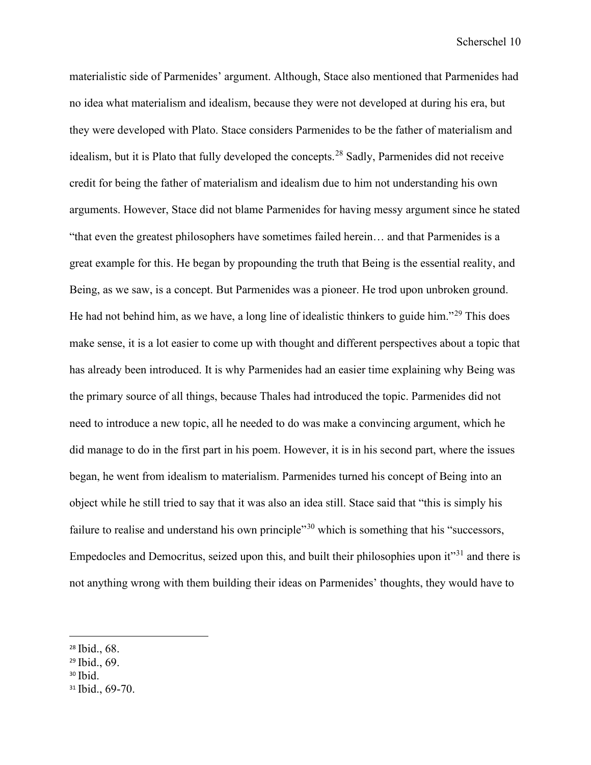materialistic side of Parmenides' argument. Although, Stace also mentioned that Parmenides had no idea what materialism and idealism, because they were not developed at during his era, but they were developed with Plato. Stace considers Parmenides to be the father of materialism and idealism, but it is Plato that fully developed the concepts.<sup>[28](#page-10-0)</sup> Sadly, Parmenides did not receive credit for being the father of materialism and idealism due to him not understanding his own arguments. However, Stace did not blame Parmenides for having messy argument since he stated "that even the greatest philosophers have sometimes failed herein… and that Parmenides is a great example for this. He began by propounding the truth that Being is the essential reality, and Being, as we saw, is a concept. But Parmenides was a pioneer. He trod upon unbroken ground. He had not behind him, as we have, a long line of idealistic thinkers to guide him."[29](#page-10-1) This does make sense, it is a lot easier to come up with thought and different perspectives about a topic that has already been introduced. It is why Parmenides had an easier time explaining why Being was the primary source of all things, because Thales had introduced the topic. Parmenides did not need to introduce a new topic, all he needed to do was make a convincing argument, which he did manage to do in the first part in his poem. However, it is in his second part, where the issues began, he went from idealism to materialism. Parmenides turned his concept of Being into an object while he still tried to say that it was also an idea still. Stace said that "this is simply his failure to realise and understand his own principle<sup>[30](#page-10-2)</sup> which is something that his "successors, Empedocles and Democritus, seized upon this, and built their philosophies upon it"<sup>[31](#page-10-3)</sup> and there is not anything wrong with them building their ideas on Parmenides' thoughts, they would have to

- <span id="page-10-1"></span><sup>29</sup> Ibid., 69.
- <span id="page-10-2"></span><sup>30</sup> Ibid.

<span id="page-10-0"></span><sup>28</sup> Ibid., 68.

<span id="page-10-3"></span><sup>&</sup>lt;sup>31</sup> Ibid., 69-70.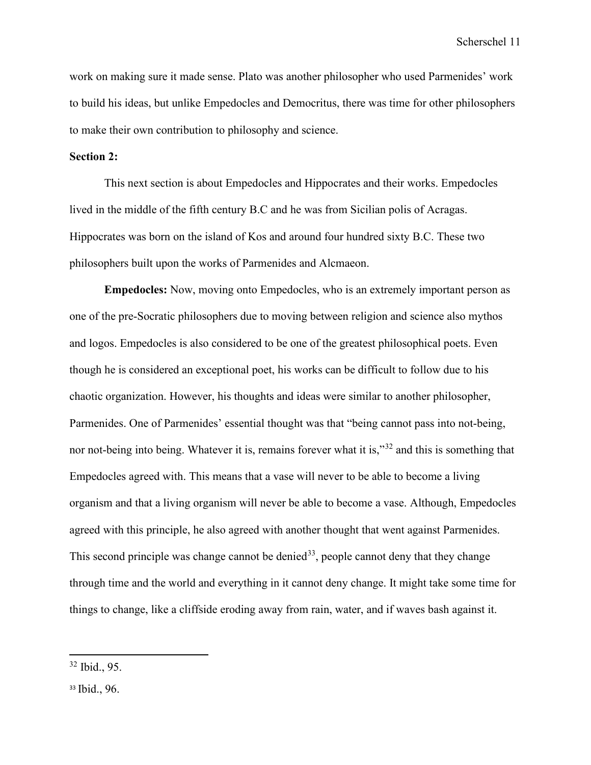work on making sure it made sense. Plato was another philosopher who used Parmenides' work to build his ideas, but unlike Empedocles and Democritus, there was time for other philosophers to make their own contribution to philosophy and science.

### **Section 2:**

This next section is about Empedocles and Hippocrates and their works. Empedocles lived in the middle of the fifth century B.C and he was from Sicilian polis of Acragas. Hippocrates was born on the island of Kos and around four hundred sixty B.C. These two philosophers built upon the works of Parmenides and Alcmaeon.

**Empedocles:** Now, moving onto Empedocles, who is an extremely important person as one of the pre-Socratic philosophers due to moving between religion and science also mythos and logos. Empedocles is also considered to be one of the greatest philosophical poets. Even though he is considered an exceptional poet, his works can be difficult to follow due to his chaotic organization. However, his thoughts and ideas were similar to another philosopher, Parmenides. One of Parmenides' essential thought was that "being cannot pass into not-being, nor not-being into being. Whatever it is, remains forever what it is,"<sup>[32](#page-11-0)</sup> and this is something that Empedocles agreed with. This means that a vase will never to be able to become a living organism and that a living organism will never be able to become a vase. Although, Empedocles agreed with this principle, he also agreed with another thought that went against Parmenides. This second principle was change cannot be denied<sup>[33](#page-11-1)</sup>, people cannot deny that they change through time and the world and everything in it cannot deny change. It might take some time for things to change, like a cliffside eroding away from rain, water, and if waves bash against it.

<span id="page-11-0"></span><sup>32</sup> Ibid., 95.

<span id="page-11-1"></span><sup>33</sup> Ibid., 96.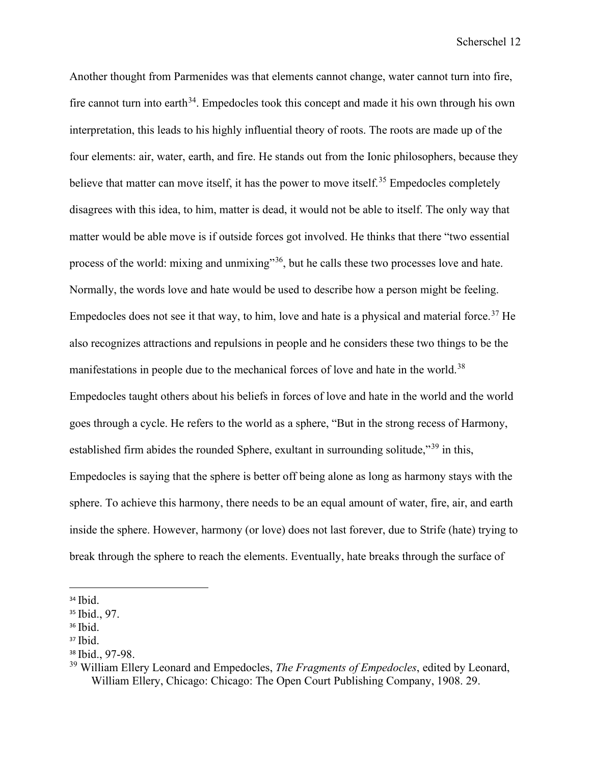Another thought from Parmenides was that elements cannot change, water cannot turn into fire, fire cannot turn into earth<sup>[34](#page-12-0)</sup>. Empedocles took this concept and made it his own through his own interpretation, this leads to his highly influential theory of roots. The roots are made up of the four elements: air, water, earth, and fire. He stands out from the Ionic philosophers, because they believe that matter can move itself, it has the power to move itself.<sup>[35](#page-12-1)</sup> Empedocles completely disagrees with this idea, to him, matter is dead, it would not be able to itself. The only way that matter would be able move is if outside forces got involved. He thinks that there "two essential process of the world: mixing and unmixing"<sup>[36](#page-12-2)</sup>, but he calls these two processes love and hate. Normally, the words love and hate would be used to describe how a person might be feeling. Empedocles does not see it that way, to him, love and hate is a physical and material force.<sup>[37](#page-12-3)</sup> He also recognizes attractions and repulsions in people and he considers these two things to be the manifestations in people due to the mechanical forces of love and hate in the world.<sup>[38](#page-12-4)</sup> Empedocles taught others about his beliefs in forces of love and hate in the world and the world goes through a cycle. He refers to the world as a sphere, "But in the strong recess of Harmony, established firm abides the rounded Sphere, exultant in surrounding solitude,"<sup>[39](#page-12-5)</sup> in this, Empedocles is saying that the sphere is better off being alone as long as harmony stays with the sphere. To achieve this harmony, there needs to be an equal amount of water, fire, air, and earth inside the sphere. However, harmony (or love) does not last forever, due to Strife (hate) trying to break through the sphere to reach the elements. Eventually, hate breaks through the surface of

<span id="page-12-0"></span><sup>34</sup> Ibid.

<span id="page-12-1"></span><sup>35</sup> Ibid., 97.

<span id="page-12-2"></span><sup>36</sup> Ibid.

<span id="page-12-3"></span> $37$  Ibid.

<span id="page-12-4"></span><sup>38</sup> Ibid., 97-98.

<span id="page-12-5"></span><sup>39</sup> William Ellery Leonard and Empedocles, *The Fragments of Empedocles*, edited by Leonard, William Ellery, Chicago: Chicago: The Open Court Publishing Company, 1908. 29.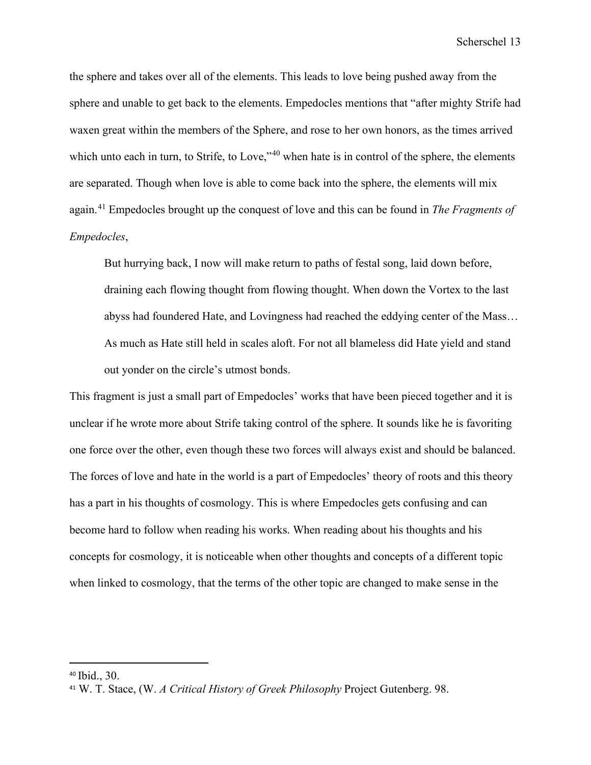the sphere and takes over all of the elements. This leads to love being pushed away from the sphere and unable to get back to the elements. Empedocles mentions that "after mighty Strife had waxen great within the members of the Sphere, and rose to her own honors, as the times arrived which unto each in turn, to Strife, to Love,"<sup>[40](#page-13-0)</sup> when hate is in control of the sphere, the elements are separated. Though when love is able to come back into the sphere, the elements will mix again.[41](#page-13-1) Empedocles brought up the conquest of love and this can be found in *The Fragments of Empedocles*,

But hurrying back, I now will make return to paths of festal song, laid down before, draining each flowing thought from flowing thought. When down the Vortex to the last abyss had foundered Hate, and Lovingness had reached the eddying center of the Mass… As much as Hate still held in scales aloft. For not all blameless did Hate yield and stand out yonder on the circle's utmost bonds.

This fragment is just a small part of Empedocles' works that have been pieced together and it is unclear if he wrote more about Strife taking control of the sphere. It sounds like he is favoriting one force over the other, even though these two forces will always exist and should be balanced. The forces of love and hate in the world is a part of Empedocles' theory of roots and this theory has a part in his thoughts of cosmology. This is where Empedocles gets confusing and can become hard to follow when reading his works. When reading about his thoughts and his concepts for cosmology, it is noticeable when other thoughts and concepts of a different topic when linked to cosmology, that the terms of the other topic are changed to make sense in the

<span id="page-13-0"></span><sup>40</sup> Ibid., 30.

<span id="page-13-1"></span><sup>41</sup> W. T. Stace, (W. *A Critical History of Greek Philosophy* Project Gutenberg. 98.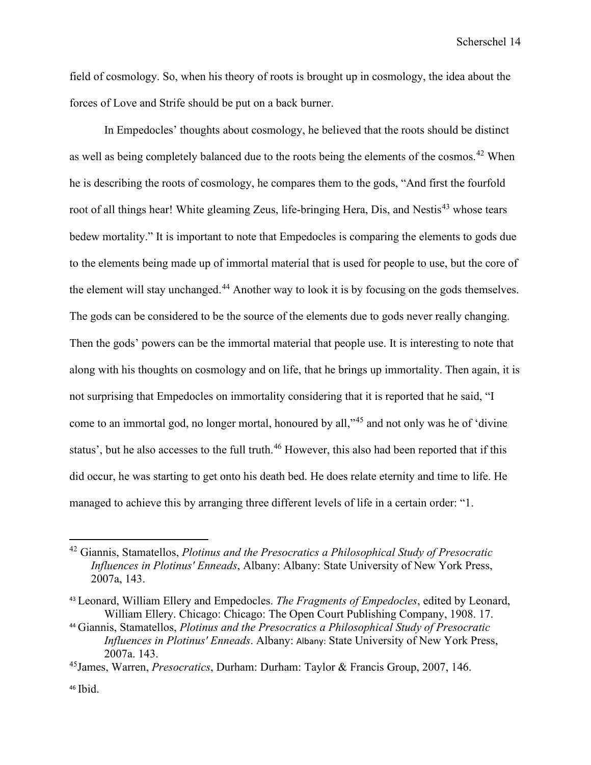field of cosmology. So, when his theory of roots is brought up in cosmology, the idea about the forces of Love and Strife should be put on a back burner.

 In Empedocles' thoughts about cosmology, he believed that the roots should be distinct as well as being completely balanced due to the roots being the elements of the cosmos.<sup>[42](#page-14-0)</sup> When he is describing the roots of cosmology, he compares them to the gods, "And first the fourfold root of all things hear! White gleaming Zeus, life-bringing Hera, Dis, and Nestis<sup>[43](#page-14-1)</sup> whose tears bedew mortality." It is important to note that Empedocles is comparing the elements to gods due to the elements being made up of immortal material that is used for people to use, but the core of the element will stay unchanged.<sup>[44](#page-14-2)</sup> Another way to look it is by focusing on the gods themselves. The gods can be considered to be the source of the elements due to gods never really changing. Then the gods' powers can be the immortal material that people use. It is interesting to note that along with his thoughts on cosmology and on life, that he brings up immortality. Then again, it is not surprising that Empedocles on immortality considering that it is reported that he said, "I come to an immortal god, no longer mortal, honoured by all,"[45](#page-14-3) and not only was he of 'divine status', but he also accesses to the full truth.<sup>[46](#page-14-4)</sup> However, this also had been reported that if this did occur, he was starting to get onto his death bed. He does relate eternity and time to life. He managed to achieve this by arranging three different levels of life in a certain order: "1.

<span id="page-14-0"></span><sup>42</sup> Giannis, Stamatellos, *Plotinus and the Presocratics a Philosophical Study of Presocratic Influences in Plotinus' Enneads*, Albany: Albany: State University of New York Press, 2007a, 143.

<span id="page-14-1"></span><sup>43</sup> Leonard, William Ellery and Empedocles. *The Fragments of Empedocles*, edited by Leonard, William Ellery. Chicago: Chicago: The Open Court Publishing Company, 1908. 17.

<span id="page-14-2"></span><sup>44</sup> Giannis, Stamatellos, *Plotinus and the Presocratics a Philosophical Study of Presocratic Influences in Plotinus' Enneads*. Albany: Albany: State University of New York Press, 2007a. 143.

<span id="page-14-3"></span><sup>45</sup>James, Warren, *Presocratics*, Durham: Durham: Taylor & Francis Group, 2007, 146.

<span id="page-14-4"></span> $46$  Ibid.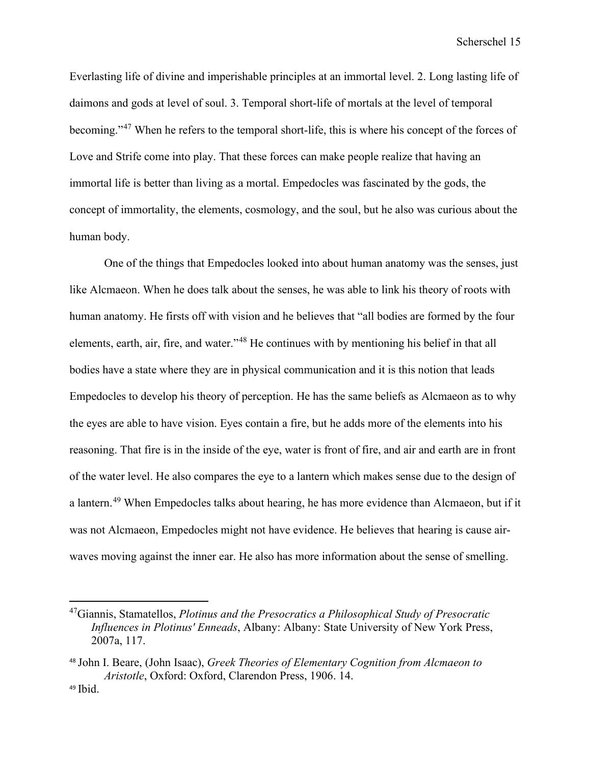Everlasting life of divine and imperishable principles at an immortal level. 2. Long lasting life of daimons and gods at level of soul. 3. Temporal short-life of mortals at the level of temporal becoming."[47](#page-15-0) When he refers to the temporal short-life, this is where his concept of the forces of Love and Strife come into play. That these forces can make people realize that having an immortal life is better than living as a mortal. Empedocles was fascinated by the gods, the concept of immortality, the elements, cosmology, and the soul, but he also was curious about the human body.

 One of the things that Empedocles looked into about human anatomy was the senses, just like Alcmaeon. When he does talk about the senses, he was able to link his theory of roots with human anatomy. He firsts off with vision and he believes that "all bodies are formed by the four elements, earth, air, fire, and water."[48](#page-15-1) He continues with by mentioning his belief in that all bodies have a state where they are in physical communication and it is this notion that leads Empedocles to develop his theory of perception. He has the same beliefs as Alcmaeon as to why the eyes are able to have vision. Eyes contain a fire, but he adds more of the elements into his reasoning. That fire is in the inside of the eye, water is front of fire, and air and earth are in front of the water level. He also compares the eye to a lantern which makes sense due to the design of a lantern.<sup>[49](#page-15-2)</sup> When Empedocles talks about hearing, he has more evidence than Alcmaeon, but if it was not Alcmaeon, Empedocles might not have evidence. He believes that hearing is cause airwaves moving against the inner ear. He also has more information about the sense of smelling.

<span id="page-15-0"></span><sup>47</sup>Giannis, Stamatellos, *Plotinus and the Presocratics a Philosophical Study of Presocratic Influences in Plotinus' Enneads*, Albany: Albany: State University of New York Press, 2007a, 117.

<span id="page-15-2"></span><span id="page-15-1"></span><sup>48</sup> John I. Beare, (John Isaac), *Greek Theories of Elementary Cognition from Alcmaeon to Aristotle*, Oxford: Oxford, Clarendon Press, 1906. 14. <sup>49</sup> Ibid.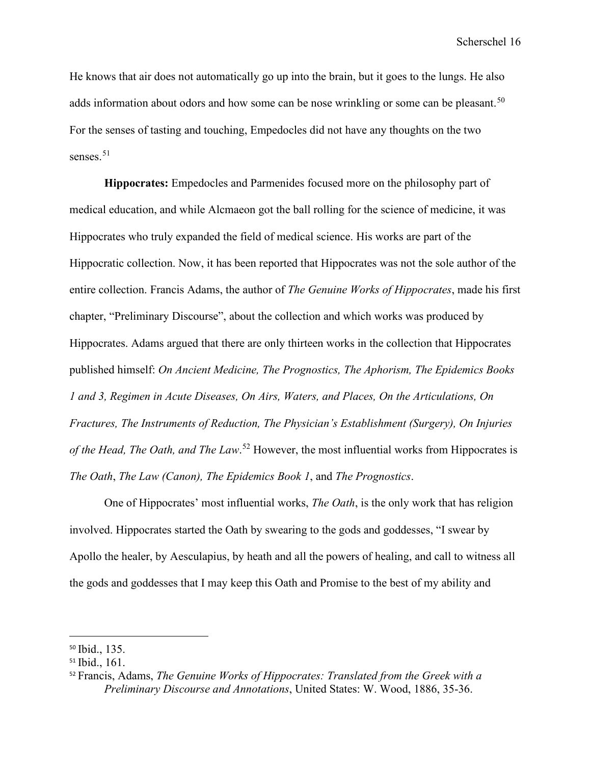He knows that air does not automatically go up into the brain, but it goes to the lungs. He also adds information about odors and how some can be nose wrinkling or some can be pleasant.<sup>[50](#page-16-0)</sup> For the senses of tasting and touching, Empedocles did not have any thoughts on the two senses.<sup>[51](#page-16-1)</sup>

**Hippocrates:** Empedocles and Parmenides focused more on the philosophy part of medical education, and while Alcmaeon got the ball rolling for the science of medicine, it was Hippocrates who truly expanded the field of medical science. His works are part of the Hippocratic collection. Now, it has been reported that Hippocrates was not the sole author of the entire collection. Francis Adams, the author of *The Genuine Works of Hippocrates*, made his first chapter, "Preliminary Discourse", about the collection and which works was produced by Hippocrates. Adams argued that there are only thirteen works in the collection that Hippocrates published himself: *On Ancient Medicine, The Prognostics, The Aphorism, The Epidemics Books 1 and 3, Regimen in Acute Diseases, On Airs, Waters, and Places, On the Articulations, On Fractures, The Instruments of Reduction, The Physician's Establishment (Surgery), On Injuries of the Head, The Oath, and The Law*. [52](#page-16-2) However, the most influential works from Hippocrates is *The Oath*, *The Law (Canon), The Epidemics Book 1*, and *The Prognostics*.

One of Hippocrates' most influential works, *The Oath*, is the only work that has religion involved. Hippocrates started the Oath by swearing to the gods and goddesses, "I swear by Apollo the healer, by Aesculapius, by heath and all the powers of healing, and call to witness all the gods and goddesses that I may keep this Oath and Promise to the best of my ability and

<span id="page-16-0"></span><sup>50</sup> Ibid., 135.

<span id="page-16-1"></span><sup>51</sup> Ibid., 161.

<span id="page-16-2"></span><sup>52</sup> Francis, Adams, *The Genuine Works of Hippocrates: Translated from the Greek with a Preliminary Discourse and Annotations*, United States: W. Wood, 1886, 35-36.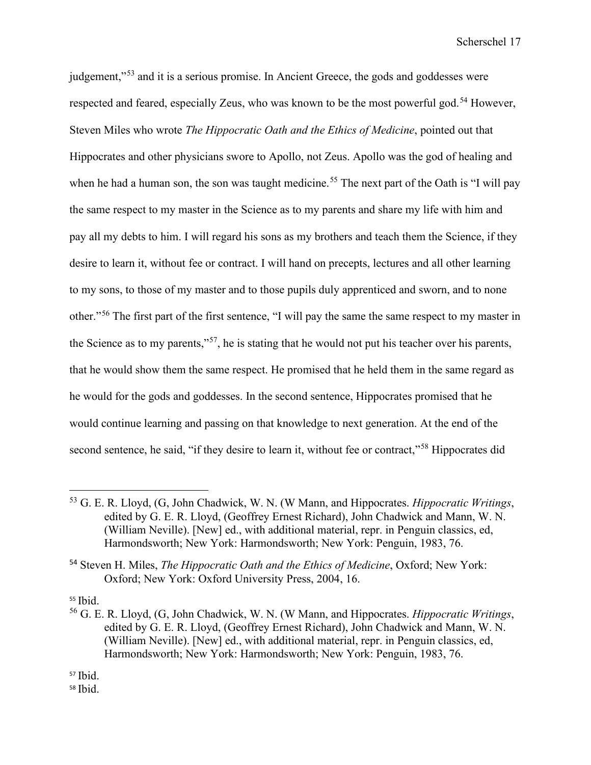judgement,"<sup>53</sup> and it is a serious promise. In Ancient Greece, the gods and goddesses were respected and feared, especially Zeus, who was known to be the most powerful god.<sup>54</sup> However, Steven Miles who wrote *The Hippocratic Oath and the Ethics of Medicine*, pointed out that Hippocrates and other physicians swore to Apollo, not Zeus. Apollo was the god of healing and when he had a human son, the son was taught medicine.<sup>[55](#page-17-2)</sup> The next part of the Oath is "I will pay the same respect to my master in the Science as to my parents and share my life with him and pay all my debts to him. I will regard his sons as my brothers and teach them the Science, if they desire to learn it, without fee or contract. I will hand on precepts, lectures and all other learning to my sons, to those of my master and to those pupils duly apprenticed and sworn, and to none other."[56](#page-17-3) The first part of the first sentence, "I will pay the same the same respect to my master in the Science as to my parents,"[57](#page-17-4), he is stating that he would not put his teacher over his parents, that he would show them the same respect. He promised that he held them in the same regard as he would for the gods and goddesses. In the second sentence, Hippocrates promised that he would continue learning and passing on that knowledge to next generation. At the end of the second sentence, he said, "if they desire to learn it, without fee or contract,"<sup>[58](#page-17-5)</sup> Hippocrates did

<span id="page-17-2"></span><sup>55</sup> Ibid.

<span id="page-17-0"></span><sup>53</sup> G. E. R. Lloyd, (G, John Chadwick, W. N. (W Mann, and Hippocrates. *Hippocratic Writings*, edited by G. E. R. Lloyd, (Geoffrey Ernest Richard), John Chadwick and Mann, W. N. (William Neville). [New] ed., with additional material, repr. in Penguin classics, ed, Harmondsworth; New York: Harmondsworth; New York: Penguin, 1983, 76.

<span id="page-17-1"></span><sup>54</sup> Steven H. Miles, *The Hippocratic Oath and the Ethics of Medicine*, Oxford; New York: Oxford; New York: Oxford University Press, 2004, 16.

<span id="page-17-3"></span><sup>56</sup> G. E. R. Lloyd, (G, John Chadwick, W. N. (W Mann, and Hippocrates. *Hippocratic Writings*, edited by G. E. R. Lloyd, (Geoffrey Ernest Richard), John Chadwick and Mann, W. N. (William Neville). [New] ed., with additional material, repr. in Penguin classics, ed, Harmondsworth; New York: Harmondsworth; New York: Penguin, 1983, 76.

<span id="page-17-4"></span><sup>57</sup> Ibid.

<span id="page-17-5"></span><sup>58</sup> Ibid.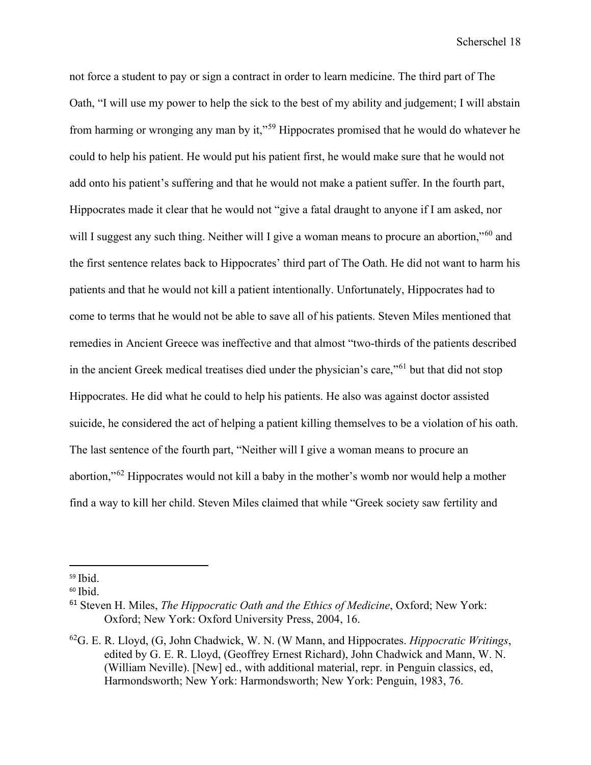not force a student to pay or sign a contract in order to learn medicine. The third part of The Oath, "I will use my power to help the sick to the best of my ability and judgement; I will abstain from harming or wronging any man by it,"[59](#page-18-0) Hippocrates promised that he would do whatever he could to help his patient. He would put his patient first, he would make sure that he would not add onto his patient's suffering and that he would not make a patient suffer. In the fourth part, Hippocrates made it clear that he would not "give a fatal draught to anyone if I am asked, nor will I suggest any such thing. Neither will I give a woman means to procure an abortion,"<sup>[60](#page-18-1)</sup> and the first sentence relates back to Hippocrates' third part of The Oath. He did not want to harm his patients and that he would not kill a patient intentionally. Unfortunately, Hippocrates had to come to terms that he would not be able to save all of his patients. Steven Miles mentioned that remedies in Ancient Greece was ineffective and that almost "two-thirds of the patients described in the ancient Greek medical treatises died under the physician's care,"[61](#page-18-2) but that did not stop Hippocrates. He did what he could to help his patients. He also was against doctor assisted suicide, he considered the act of helping a patient killing themselves to be a violation of his oath. The last sentence of the fourth part, "Neither will I give a woman means to procure an abortion,"[62](#page-18-3) Hippocrates would not kill a baby in the mother's womb nor would help a mother find a way to kill her child. Steven Miles claimed that while "Greek society saw fertility and

<span id="page-18-0"></span> $59$  Ibid.

<span id="page-18-1"></span> $60$  Ibid.

<span id="page-18-2"></span><sup>61</sup> Steven H. Miles, *The Hippocratic Oath and the Ethics of Medicine*, Oxford; New York: Oxford; New York: Oxford University Press, 2004, 16.

<span id="page-18-3"></span><sup>62</sup>G. E. R. Lloyd, (G, John Chadwick, W. N. (W Mann, and Hippocrates. *Hippocratic Writings*, edited by G. E. R. Lloyd, (Geoffrey Ernest Richard), John Chadwick and Mann, W. N. (William Neville). [New] ed., with additional material, repr. in Penguin classics, ed, Harmondsworth; New York: Harmondsworth; New York: Penguin, 1983, 76.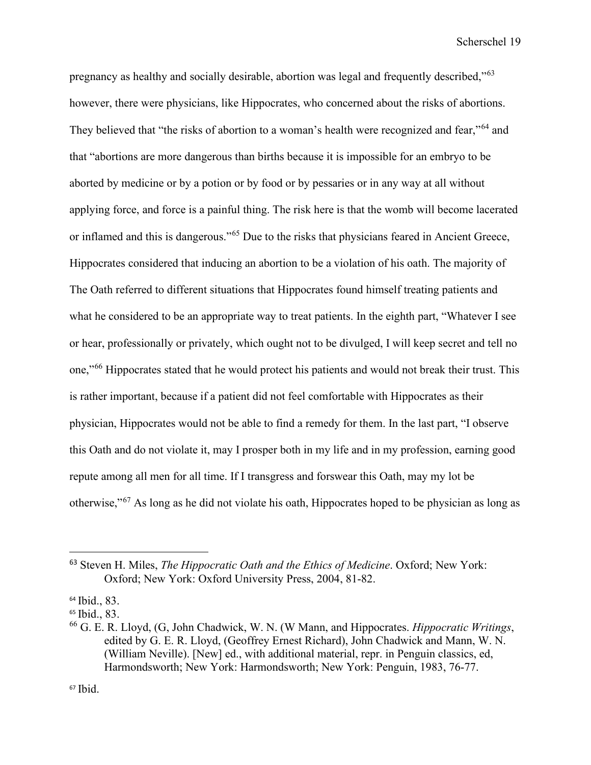pregnancy as healthy and socially desirable, abortion was legal and frequently described,"[63](#page-19-0) however, there were physicians, like Hippocrates, who concerned about the risks of abortions. They believed that "the risks of abortion to a woman's health were recognized and fear."<sup>64</sup> and that "abortions are more dangerous than births because it is impossible for an embryo to be aborted by medicine or by a potion or by food or by pessaries or in any way at all without applying force, and force is a painful thing. The risk here is that the womb will become lacerated or inflamed and this is dangerous."<sup>65</sup> Due to the risks that physicians feared in Ancient Greece, Hippocrates considered that inducing an abortion to be a violation of his oath. The majority of The Oath referred to different situations that Hippocrates found himself treating patients and what he considered to be an appropriate way to treat patients. In the eighth part, "Whatever I see or hear, professionally or privately, which ought not to be divulged, I will keep secret and tell no one,"[66](#page-19-3) Hippocrates stated that he would protect his patients and would not break their trust. This is rather important, because if a patient did not feel comfortable with Hippocrates as their physician, Hippocrates would not be able to find a remedy for them. In the last part, "I observe this Oath and do not violate it, may I prosper both in my life and in my profession, earning good repute among all men for all time. If I transgress and forswear this Oath, may my lot be otherwise,"[67](#page-19-4) As long as he did not violate his oath, Hippocrates hoped to be physician as long as

<span id="page-19-0"></span><sup>63</sup> Steven H. Miles, *The Hippocratic Oath and the Ethics of Medicine*. Oxford; New York: Oxford; New York: Oxford University Press, 2004, 81-82.

<span id="page-19-1"></span><sup>64</sup> Ibid., 83.

<span id="page-19-2"></span><sup>65</sup> Ibid., 83.

<span id="page-19-4"></span><span id="page-19-3"></span><sup>66</sup> G. E. R. Lloyd, (G, John Chadwick, W. N. (W Mann, and Hippocrates. *Hippocratic Writings*, edited by G. E. R. Lloyd, (Geoffrey Ernest Richard), John Chadwick and Mann, W. N. (William Neville). [New] ed., with additional material, repr. in Penguin classics, ed, Harmondsworth; New York: Harmondsworth; New York: Penguin, 1983, 76-77.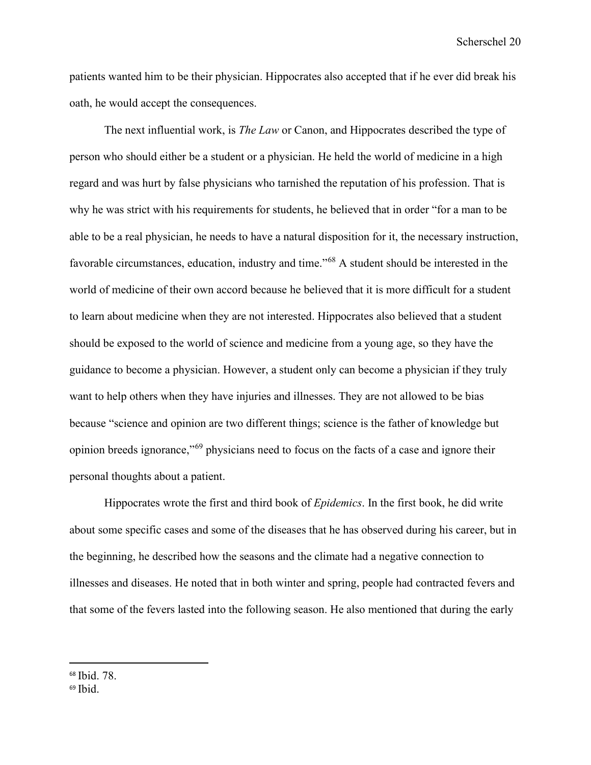patients wanted him to be their physician. Hippocrates also accepted that if he ever did break his oath, he would accept the consequences.

The next influential work, is *The Law* or Canon, and Hippocrates described the type of person who should either be a student or a physician. He held the world of medicine in a high regard and was hurt by false physicians who tarnished the reputation of his profession. That is why he was strict with his requirements for students, he believed that in order "for a man to be able to be a real physician, he needs to have a natural disposition for it, the necessary instruction, favorable circumstances, education, industry and time."[68](#page-20-0) A student should be interested in the world of medicine of their own accord because he believed that it is more difficult for a student to learn about medicine when they are not interested. Hippocrates also believed that a student should be exposed to the world of science and medicine from a young age, so they have the guidance to become a physician. However, a student only can become a physician if they truly want to help others when they have injuries and illnesses. They are not allowed to be bias because "science and opinion are two different things; science is the father of knowledge but opinion breeds ignorance,"[69](#page-20-1) physicians need to focus on the facts of a case and ignore their personal thoughts about a patient.

Hippocrates wrote the first and third book of *Epidemics*. In the first book, he did write about some specific cases and some of the diseases that he has observed during his career, but in the beginning, he described how the seasons and the climate had a negative connection to illnesses and diseases. He noted that in both winter and spring, people had contracted fevers and that some of the fevers lasted into the following season. He also mentioned that during the early

<span id="page-20-0"></span><sup>68</sup> Ibid. 78.

<span id="page-20-1"></span> $69$  Ibid.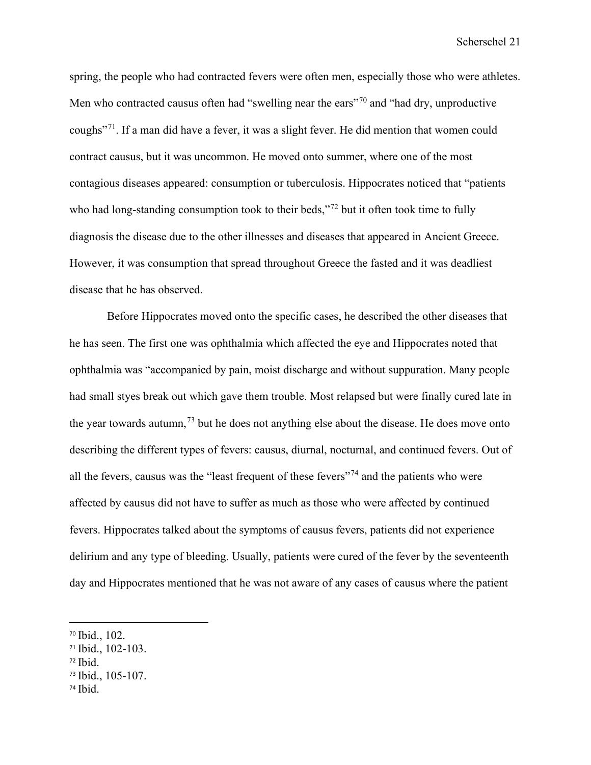spring, the people who had contracted fevers were often men, especially those who were athletes. Men who contracted causus often had "swelling near the ears"<sup>[70](#page-21-0)</sup> and "had dry, unproductive coughs"[71](#page-21-1). If a man did have a fever, it was a slight fever. He did mention that women could contract causus, but it was uncommon. He moved onto summer, where one of the most contagious diseases appeared: consumption or tuberculosis. Hippocrates noticed that "patients who had long-standing consumption took to their beds,"<sup>[72](#page-21-2)</sup> but it often took time to fully diagnosis the disease due to the other illnesses and diseases that appeared in Ancient Greece. However, it was consumption that spread throughout Greece the fasted and it was deadliest disease that he has observed.

Before Hippocrates moved onto the specific cases, he described the other diseases that he has seen. The first one was ophthalmia which affected the eye and Hippocrates noted that ophthalmia was "accompanied by pain, moist discharge and without suppuration. Many people had small styes break out which gave them trouble. Most relapsed but were finally cured late in the year towards autumn,  $^{73}$  $^{73}$  $^{73}$  but he does not anything else about the disease. He does move onto describing the different types of fevers: causus, diurnal, nocturnal, and continued fevers. Out of all the fevers, causus was the "least frequent of these fevers"<sup>[74](#page-21-4)</sup> and the patients who were affected by causus did not have to suffer as much as those who were affected by continued fevers. Hippocrates talked about the symptoms of causus fevers, patients did not experience delirium and any type of bleeding. Usually, patients were cured of the fever by the seventeenth day and Hippocrates mentioned that he was not aware of any cases of causus where the patient

<span id="page-21-2"></span> $72$  Ibid.

<span id="page-21-4"></span><sup>74</sup> Ibid.

<span id="page-21-0"></span><sup>70</sup> Ibid., 102.

<span id="page-21-1"></span><sup>71</sup> Ibid., 102-103.

<span id="page-21-3"></span><sup>73</sup> Ibid., 105-107.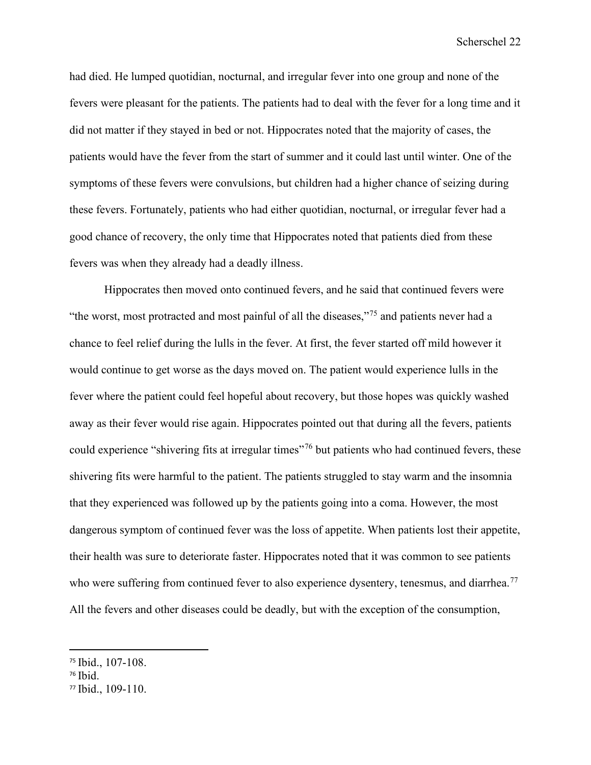had died. He lumped quotidian, nocturnal, and irregular fever into one group and none of the fevers were pleasant for the patients. The patients had to deal with the fever for a long time and it did not matter if they stayed in bed or not. Hippocrates noted that the majority of cases, the patients would have the fever from the start of summer and it could last until winter. One of the symptoms of these fevers were convulsions, but children had a higher chance of seizing during these fevers. Fortunately, patients who had either quotidian, nocturnal, or irregular fever had a good chance of recovery, the only time that Hippocrates noted that patients died from these fevers was when they already had a deadly illness.

Hippocrates then moved onto continued fevers, and he said that continued fevers were "the worst, most protracted and most painful of all the diseases,"[75](#page-22-0) and patients never had a chance to feel relief during the lulls in the fever. At first, the fever started off mild however it would continue to get worse as the days moved on. The patient would experience lulls in the fever where the patient could feel hopeful about recovery, but those hopes was quickly washed away as their fever would rise again. Hippocrates pointed out that during all the fevers, patients could experience "shivering fits at irregular times"<sup>[76](#page-22-1)</sup> but patients who had continued fevers, these shivering fits were harmful to the patient. The patients struggled to stay warm and the insomnia that they experienced was followed up by the patients going into a coma. However, the most dangerous symptom of continued fever was the loss of appetite. When patients lost their appetite, their health was sure to deteriorate faster. Hippocrates noted that it was common to see patients who were suffering from continued fever to also experience dysentery, tenesmus, and diarrhea.<sup>[77](#page-22-2)</sup> All the fevers and other diseases could be deadly, but with the exception of the consumption,

<span id="page-22-0"></span><sup>75</sup> Ibid., 107-108.

<span id="page-22-1"></span><sup>76</sup> Ibid.

<span id="page-22-2"></span><sup>77</sup> Ibid., 109-110.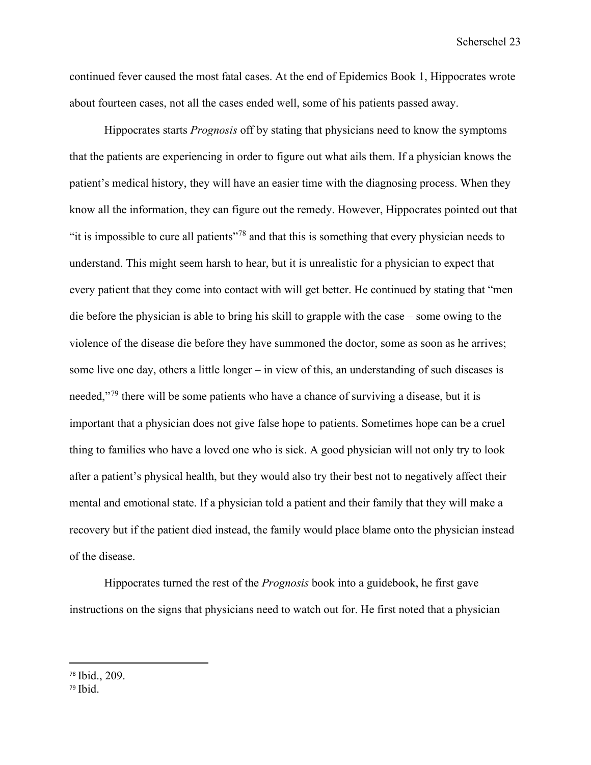continued fever caused the most fatal cases. At the end of Epidemics Book 1, Hippocrates wrote about fourteen cases, not all the cases ended well, some of his patients passed away.

Hippocrates starts *Prognosis* off by stating that physicians need to know the symptoms that the patients are experiencing in order to figure out what ails them. If a physician knows the patient's medical history, they will have an easier time with the diagnosing process. When they know all the information, they can figure out the remedy. However, Hippocrates pointed out that "it is impossible to cure all patients"[78](#page-23-0) and that this is something that every physician needs to understand. This might seem harsh to hear, but it is unrealistic for a physician to expect that every patient that they come into contact with will get better. He continued by stating that "men die before the physician is able to bring his skill to grapple with the case – some owing to the violence of the disease die before they have summoned the doctor, some as soon as he arrives; some live one day, others a little longer – in view of this, an understanding of such diseases is needed,"<sup>[79](#page-23-1)</sup> there will be some patients who have a chance of surviving a disease, but it is important that a physician does not give false hope to patients. Sometimes hope can be a cruel thing to families who have a loved one who is sick. A good physician will not only try to look after a patient's physical health, but they would also try their best not to negatively affect their mental and emotional state. If a physician told a patient and their family that they will make a recovery but if the patient died instead, the family would place blame onto the physician instead of the disease.

Hippocrates turned the rest of the *Prognosis* book into a guidebook, he first gave instructions on the signs that physicians need to watch out for. He first noted that a physician

<span id="page-23-0"></span><sup>78</sup> Ibid., 209.

<span id="page-23-1"></span> $79$  Ibid.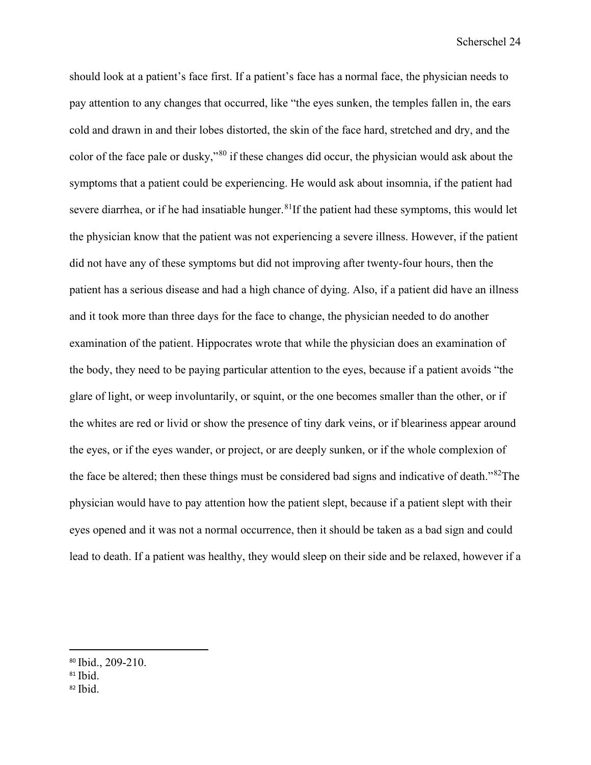should look at a patient's face first. If a patient's face has a normal face, the physician needs to pay attention to any changes that occurred, like "the eyes sunken, the temples fallen in, the ears cold and drawn in and their lobes distorted, the skin of the face hard, stretched and dry, and the color of the face pale or dusky,"[80](#page-24-0) if these changes did occur, the physician would ask about the symptoms that a patient could be experiencing. He would ask about insomnia, if the patient had severe diarrhea, or if he had insatiable hunger.  $81$ If the patient had these symptoms, this would let the physician know that the patient was not experiencing a severe illness. However, if the patient did not have any of these symptoms but did not improving after twenty-four hours, then the patient has a serious disease and had a high chance of dying. Also, if a patient did have an illness and it took more than three days for the face to change, the physician needed to do another examination of the patient. Hippocrates wrote that while the physician does an examination of the body, they need to be paying particular attention to the eyes, because if a patient avoids "the glare of light, or weep involuntarily, or squint, or the one becomes smaller than the other, or if the whites are red or livid or show the presence of tiny dark veins, or if bleariness appear around the eyes, or if the eyes wander, or project, or are deeply sunken, or if the whole complexion of the face be altered; then these things must be considered bad signs and indicative of death."[82T](#page-24-2)he physician would have to pay attention how the patient slept, because if a patient slept with their eyes opened and it was not a normal occurrence, then it should be taken as a bad sign and could lead to death. If a patient was healthy, they would sleep on their side and be relaxed, however if a

<span id="page-24-0"></span><sup>80</sup> Ibid., 209-210.

<span id="page-24-1"></span><sup>&</sup>lt;sup>81</sup> Ibid.

<span id="page-24-2"></span> $82$  Ibid.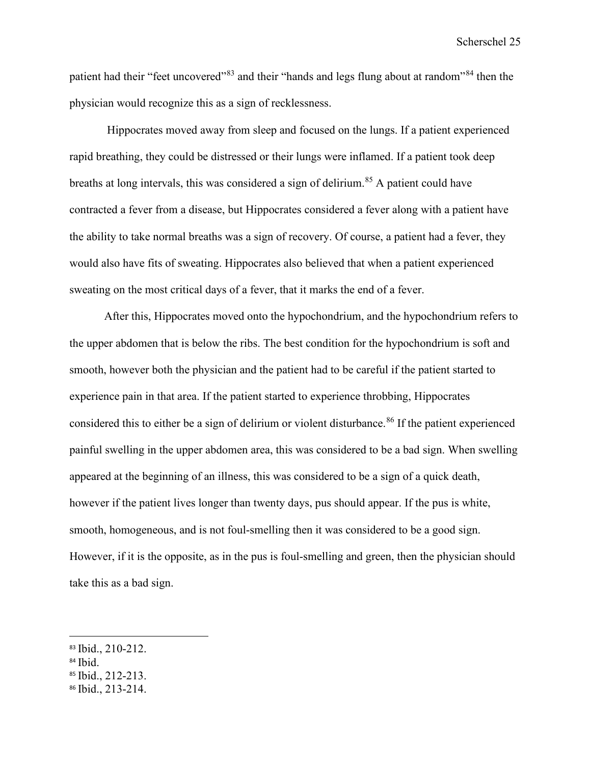patient had their "feet uncovered"<sup>[83](#page-25-0)</sup> and their "hands and legs flung about at random"<sup>[84](#page-25-1)</sup> then the physician would recognize this as a sign of recklessness.

Hippocrates moved away from sleep and focused on the lungs. If a patient experienced rapid breathing, they could be distressed or their lungs were inflamed. If a patient took deep breaths at long intervals, this was considered a sign of delirium.<sup>[85](#page-25-2)</sup> A patient could have contracted a fever from a disease, but Hippocrates considered a fever along with a patient have the ability to take normal breaths was a sign of recovery. Of course, a patient had a fever, they would also have fits of sweating. Hippocrates also believed that when a patient experienced sweating on the most critical days of a fever, that it marks the end of a fever.

After this, Hippocrates moved onto the hypochondrium, and the hypochondrium refers to the upper abdomen that is below the ribs. The best condition for the hypochondrium is soft and smooth, however both the physician and the patient had to be careful if the patient started to experience pain in that area. If the patient started to experience throbbing, Hippocrates considered this to either be a sign of delirium or violent disturbance.<sup>[86](#page-25-3)</sup> If the patient experienced painful swelling in the upper abdomen area, this was considered to be a bad sign. When swelling appeared at the beginning of an illness, this was considered to be a sign of a quick death, however if the patient lives longer than twenty days, pus should appear. If the pus is white, smooth, homogeneous, and is not foul-smelling then it was considered to be a good sign. However, if it is the opposite, as in the pus is foul-smelling and green, then the physician should take this as a bad sign.

- <span id="page-25-1"></span><sup>84</sup> Ibid.
- <span id="page-25-2"></span><sup>85</sup> Ibid., 212-213.
- <span id="page-25-3"></span><sup>86</sup> Ibid., 213-214.

<span id="page-25-0"></span><sup>83</sup> Ibid., 210-212.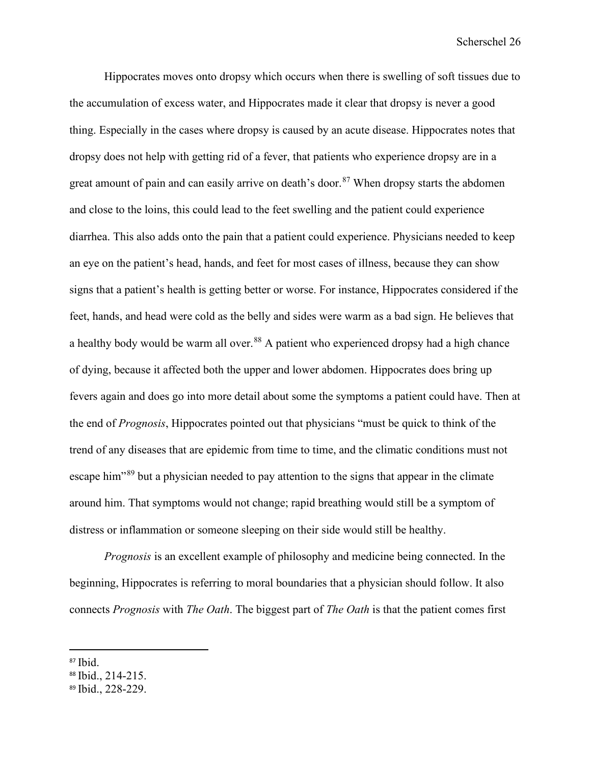Hippocrates moves onto dropsy which occurs when there is swelling of soft tissues due to the accumulation of excess water, and Hippocrates made it clear that dropsy is never a good thing. Especially in the cases where dropsy is caused by an acute disease. Hippocrates notes that dropsy does not help with getting rid of a fever, that patients who experience dropsy are in a great amount of pain and can easily arrive on death's door.<sup>[87](#page-26-0)</sup> When dropsy starts the abdomen and close to the loins, this could lead to the feet swelling and the patient could experience diarrhea. This also adds onto the pain that a patient could experience. Physicians needed to keep an eye on the patient's head, hands, and feet for most cases of illness, because they can show signs that a patient's health is getting better or worse. For instance, Hippocrates considered if the feet, hands, and head were cold as the belly and sides were warm as a bad sign. He believes that a healthy body would be warm all over.<sup>[88](#page-26-1)</sup> A patient who experienced dropsy had a high chance of dying, because it affected both the upper and lower abdomen. Hippocrates does bring up fevers again and does go into more detail about some the symptoms a patient could have. Then at the end of *Prognosis*, Hippocrates pointed out that physicians "must be quick to think of the trend of any diseases that are epidemic from time to time, and the climatic conditions must not escape him"[89](#page-26-2) but a physician needed to pay attention to the signs that appear in the climate around him. That symptoms would not change; rapid breathing would still be a symptom of distress or inflammation or someone sleeping on their side would still be healthy.

*Prognosis* is an excellent example of philosophy and medicine being connected. In the beginning, Hippocrates is referring to moral boundaries that a physician should follow. It also connects *Prognosis* with *The Oath*. The biggest part of *The Oath* is that the patient comes first

<span id="page-26-0"></span><sup>87</sup> Ibid.

<span id="page-26-1"></span><sup>88</sup> Ibid., 214-215.

<span id="page-26-2"></span><sup>89</sup> Ibid., 228-229.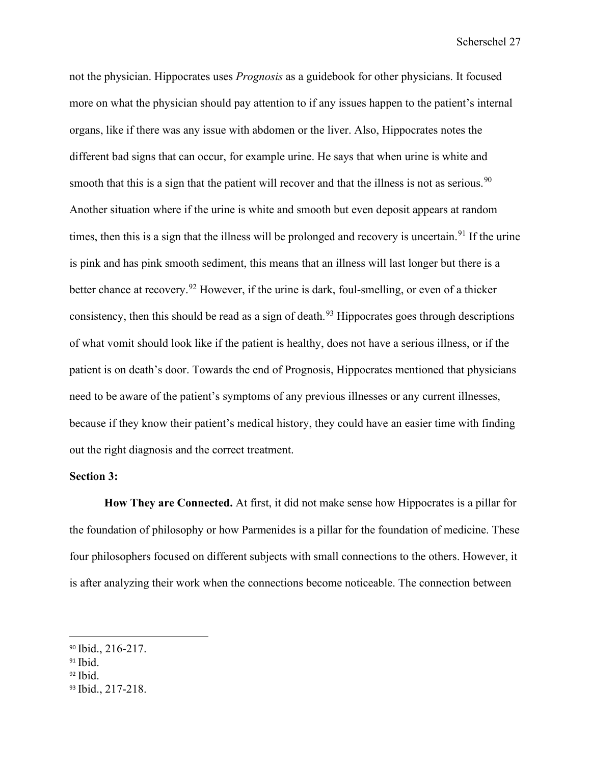not the physician. Hippocrates uses *Prognosis* as a guidebook for other physicians. It focused more on what the physician should pay attention to if any issues happen to the patient's internal organs, like if there was any issue with abdomen or the liver. Also, Hippocrates notes the different bad signs that can occur, for example urine. He says that when urine is white and smooth that this is a sign that the patient will recover and that the illness is not as serious.  $90$ Another situation where if the urine is white and smooth but even deposit appears at random times, then this is a sign that the illness will be prolonged and recovery is uncertain.<sup>[91](#page-27-1)</sup> If the urine is pink and has pink smooth sediment, this means that an illness will last longer but there is a better chance at recovery.<sup>[92](#page-27-2)</sup> However, if the urine is dark, foul-smelling, or even of a thicker consistency, then this should be read as a sign of death.<sup>[93](#page-27-3)</sup> Hippocrates goes through descriptions of what vomit should look like if the patient is healthy, does not have a serious illness, or if the patient is on death's door. Towards the end of Prognosis, Hippocrates mentioned that physicians need to be aware of the patient's symptoms of any previous illnesses or any current illnesses, because if they know their patient's medical history, they could have an easier time with finding out the right diagnosis and the correct treatment.

#### **Section 3:**

**How They are Connected.** At first, it did not make sense how Hippocrates is a pillar for the foundation of philosophy or how Parmenides is a pillar for the foundation of medicine. These four philosophers focused on different subjects with small connections to the others. However, it is after analyzing their work when the connections become noticeable. The connection between

<span id="page-27-0"></span><sup>90</sup> Ibid., 216-217.

<span id="page-27-1"></span> $91$  Ibid.

<span id="page-27-2"></span> $92$  Ibid.

<span id="page-27-3"></span><sup>93</sup> Ibid., 217-218.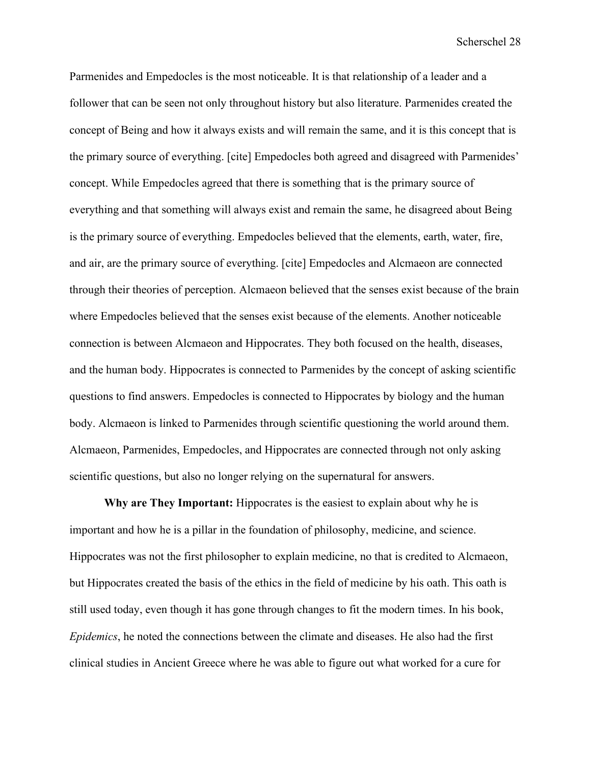Parmenides and Empedocles is the most noticeable. It is that relationship of a leader and a follower that can be seen not only throughout history but also literature. Parmenides created the concept of Being and how it always exists and will remain the same, and it is this concept that is the primary source of everything. [cite] Empedocles both agreed and disagreed with Parmenides' concept. While Empedocles agreed that there is something that is the primary source of everything and that something will always exist and remain the same, he disagreed about Being is the primary source of everything. Empedocles believed that the elements, earth, water, fire, and air, are the primary source of everything. [cite] Empedocles and Alcmaeon are connected through their theories of perception. Alcmaeon believed that the senses exist because of the brain where Empedocles believed that the senses exist because of the elements. Another noticeable connection is between Alcmaeon and Hippocrates. They both focused on the health, diseases, and the human body. Hippocrates is connected to Parmenides by the concept of asking scientific questions to find answers. Empedocles is connected to Hippocrates by biology and the human body. Alcmaeon is linked to Parmenides through scientific questioning the world around them. Alcmaeon, Parmenides, Empedocles, and Hippocrates are connected through not only asking scientific questions, but also no longer relying on the supernatural for answers.

**Why are They Important:** Hippocrates is the easiest to explain about why he is important and how he is a pillar in the foundation of philosophy, medicine, and science. Hippocrates was not the first philosopher to explain medicine, no that is credited to Alcmaeon, but Hippocrates created the basis of the ethics in the field of medicine by his oath. This oath is still used today, even though it has gone through changes to fit the modern times. In his book, *Epidemics*, he noted the connections between the climate and diseases. He also had the first clinical studies in Ancient Greece where he was able to figure out what worked for a cure for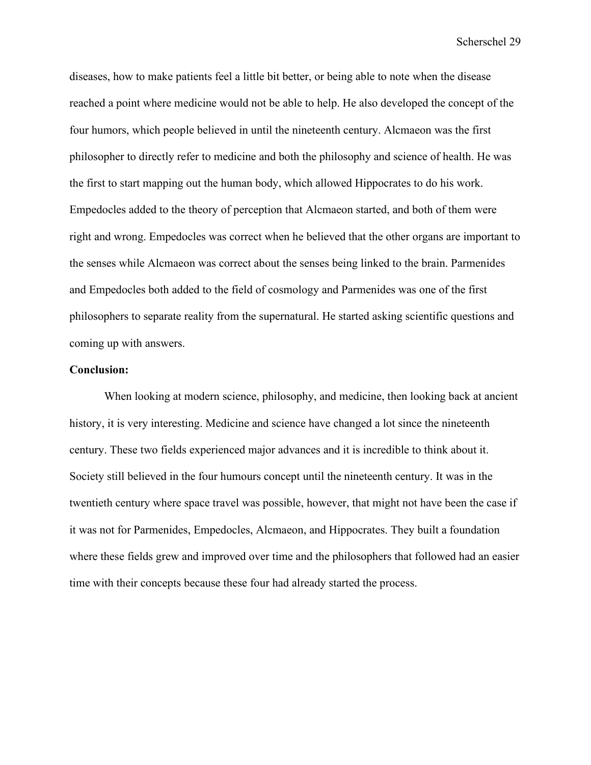diseases, how to make patients feel a little bit better, or being able to note when the disease reached a point where medicine would not be able to help. He also developed the concept of the four humors, which people believed in until the nineteenth century. Alcmaeon was the first philosopher to directly refer to medicine and both the philosophy and science of health. He was the first to start mapping out the human body, which allowed Hippocrates to do his work. Empedocles added to the theory of perception that Alcmaeon started, and both of them were right and wrong. Empedocles was correct when he believed that the other organs are important to the senses while Alcmaeon was correct about the senses being linked to the brain. Parmenides and Empedocles both added to the field of cosmology and Parmenides was one of the first philosophers to separate reality from the supernatural. He started asking scientific questions and coming up with answers.

#### **Conclusion:**

When looking at modern science, philosophy, and medicine, then looking back at ancient history, it is very interesting. Medicine and science have changed a lot since the nineteenth century. These two fields experienced major advances and it is incredible to think about it. Society still believed in the four humours concept until the nineteenth century. It was in the twentieth century where space travel was possible, however, that might not have been the case if it was not for Parmenides, Empedocles, Alcmaeon, and Hippocrates. They built a foundation where these fields grew and improved over time and the philosophers that followed had an easier time with their concepts because these four had already started the process.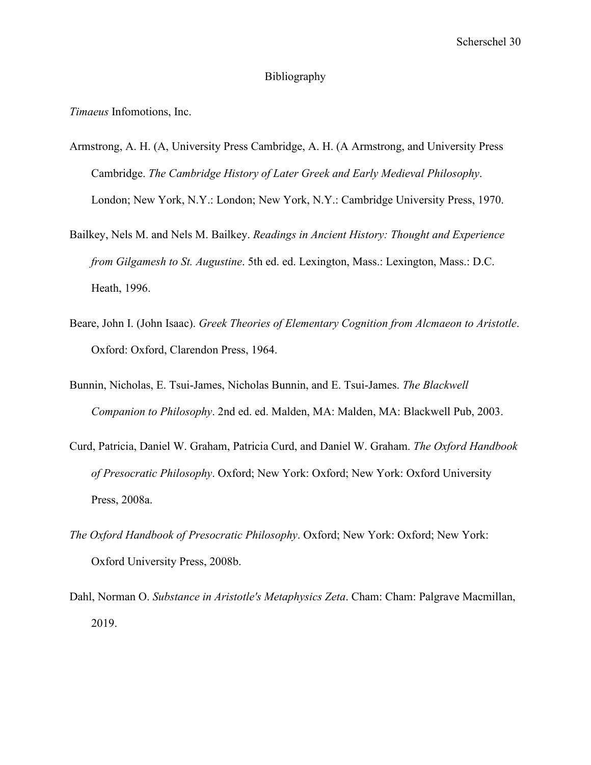#### Bibliography

*Timaeus* Infomotions, Inc.

- Armstrong, A. H. (A, University Press Cambridge, A. H. (A Armstrong, and University Press Cambridge. *The Cambridge History of Later Greek and Early Medieval Philosophy*. London; New York, N.Y.: London; New York, N.Y.: Cambridge University Press, 1970.
- Bailkey, Nels M. and Nels M. Bailkey. *Readings in Ancient History: Thought and Experience from Gilgamesh to St. Augustine*. 5th ed. ed. Lexington, Mass.: Lexington, Mass.: D.C. Heath, 1996.
- Beare, John I. (John Isaac). *Greek Theories of Elementary Cognition from Alcmaeon to Aristotle*. Oxford: Oxford, Clarendon Press, 1964.
- Bunnin, Nicholas, E. Tsui-James, Nicholas Bunnin, and E. Tsui-James. *The Blackwell Companion to Philosophy*. 2nd ed. ed. Malden, MA: Malden, MA: Blackwell Pub, 2003.
- Curd, Patricia, Daniel W. Graham, Patricia Curd, and Daniel W. Graham. *The Oxford Handbook of Presocratic Philosophy*. Oxford; New York: Oxford; New York: Oxford University Press, 2008a.
- *The Oxford Handbook of Presocratic Philosophy*. Oxford; New York: Oxford; New York: Oxford University Press, 2008b.
- Dahl, Norman O. *Substance in Aristotle's Metaphysics Zeta*. Cham: Cham: Palgrave Macmillan, 2019.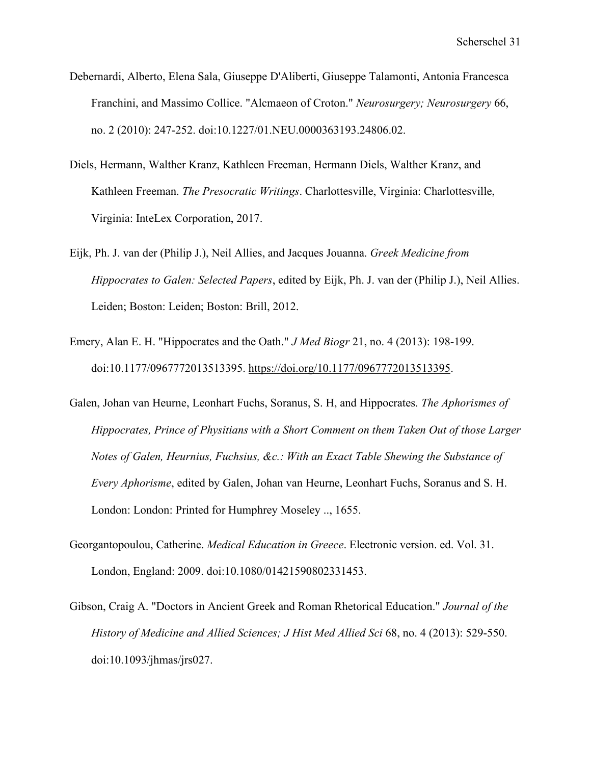- Debernardi, Alberto, Elena Sala, Giuseppe D'Aliberti, Giuseppe Talamonti, Antonia Francesca Franchini, and Massimo Collice. "Alcmaeon of Croton." *Neurosurgery; Neurosurgery* 66, no. 2 (2010): 247-252. doi:10.1227/01.NEU.0000363193.24806.02.
- Diels, Hermann, Walther Kranz, Kathleen Freeman, Hermann Diels, Walther Kranz, and Kathleen Freeman. *The Presocratic Writings*. Charlottesville, Virginia: Charlottesville, Virginia: InteLex Corporation, 2017.
- Eijk, Ph. J. van der (Philip J.), Neil Allies, and Jacques Jouanna. *Greek Medicine from Hippocrates to Galen: Selected Papers*, edited by Eijk, Ph. J. van der (Philip J.), Neil Allies. Leiden; Boston: Leiden; Boston: Brill, 2012.
- Emery, Alan E. H. "Hippocrates and the Oath." *J Med Biogr* 21, no. 4 (2013): 198-199. doi:10.1177/0967772013513395. [https://doi.org/10.1177/0967772013513395.](https://doi.org/10.1177/0967772013513395)
- Galen, Johan van Heurne, Leonhart Fuchs, Soranus, S. H, and Hippocrates. *The Aphorismes of Hippocrates, Prince of Physitians with a Short Comment on them Taken Out of those Larger Notes of Galen, Heurnius, Fuchsius, &c.: With an Exact Table Shewing the Substance of Every Aphorisme*, edited by Galen, Johan van Heurne, Leonhart Fuchs, Soranus and S. H. London: London: Printed for Humphrey Moseley .., 1655.
- Georgantopoulou, Catherine. *Medical Education in Greece*. Electronic version. ed. Vol. 31. London, England: 2009. doi:10.1080/01421590802331453.
- Gibson, Craig A. "Doctors in Ancient Greek and Roman Rhetorical Education." *Journal of the History of Medicine and Allied Sciences; J Hist Med Allied Sci* 68, no. 4 (2013): 529-550. doi:10.1093/jhmas/jrs027.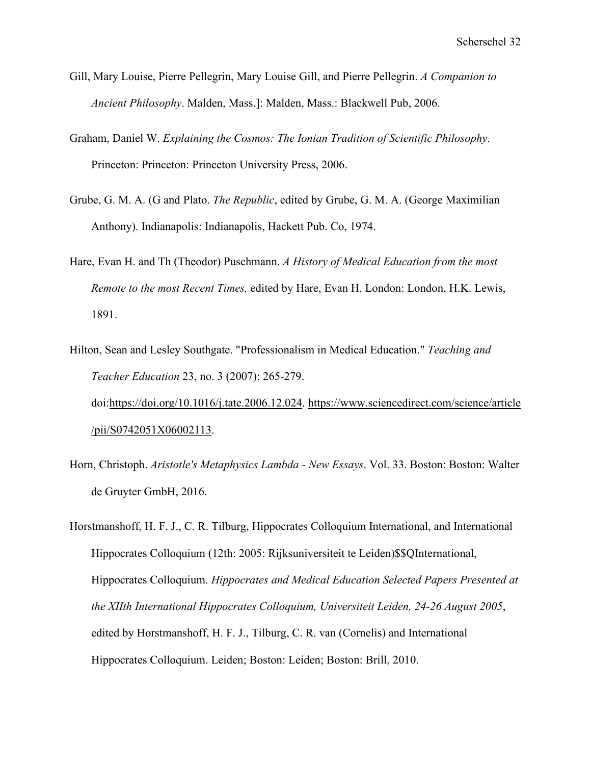- Gill, Mary Louise, Pierre Pellegrin, Mary Louise Gill, and Pierre Pellegrin. *A Companion to Ancient Philosophy*. Malden, Mass.]: Malden, Mass.: Blackwell Pub, 2006.
- Graham, Daniel W. *Explaining the Cosmos: The Ionian Tradition of Scientific Philosophy*. Princeton: Princeton: Princeton University Press, 2006.
- Grube, G. M. A. (G and Plato. *The Republic*, edited by Grube, G. M. A. (George Maximilian Anthony). Indianapolis: Indianapolis, Hackett Pub. Co, 1974.
- Hare, Evan H. and Th (Theodor) Puschmann. *A History of Medical Education from the most Remote to the most Recent Times,* edited by Hare, Evan H. London: London, H.K. Lewis, 1891.
- Hilton, Sean and Lesley Southgate. "Professionalism in Medical Education." *Teaching and Teacher Education* 23, no. 3 (2007): 265-279. doi[:https://doi.org/10.1016/j.tate.2006.12.024.](https://doi.org/10.1016/j.tate.2006.12.024) [https://www.sciencedirect.com/science/article](https://www.sciencedirect.com/science/article/pii/S0742051X06002113) [/pii/S0742051X06002113.](https://www.sciencedirect.com/science/article/pii/S0742051X06002113)
- Horn, Christoph. *Aristotle's Metaphysics Lambda New Essays*. Vol. 33. Boston: Boston: Walter de Gruyter GmbH, 2016.
- Horstmanshoff, H. F. J., C. R. Tilburg, Hippocrates Colloquium International, and International Hippocrates Colloquium (12th: 2005: Rijksuniversiteit te Leiden)\$\$QInternational, Hippocrates Colloquium. *Hippocrates and Medical Education Selected Papers Presented at the XIIth International Hippocrates Colloquium, Universiteit Leiden, 24-26 August 2005*, edited by Horstmanshoff, H. F. J., Tilburg, C. R. van (Cornelis) and International Hippocrates Colloquium. Leiden; Boston: Leiden; Boston: Brill, 2010.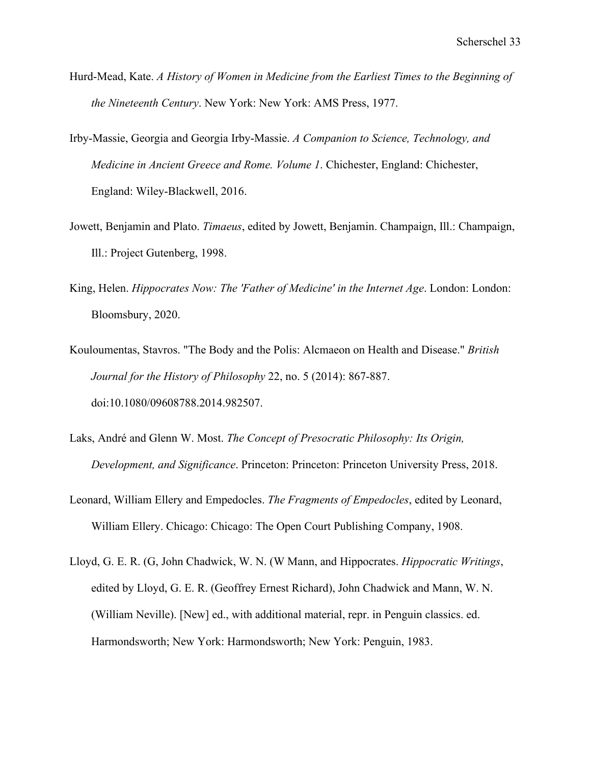- Hurd-Mead, Kate. *A History of Women in Medicine from the Earliest Times to the Beginning of the Nineteenth Century*. New York: New York: AMS Press, 1977.
- Irby-Massie, Georgia and Georgia Irby-Massie. *A Companion to Science, Technology, and Medicine in Ancient Greece and Rome. Volume 1*. Chichester, England: Chichester, England: Wiley-Blackwell, 2016.
- Jowett, Benjamin and Plato. *Timaeus*, edited by Jowett, Benjamin. Champaign, Ill.: Champaign, Ill.: Project Gutenberg, 1998.
- King, Helen. *Hippocrates Now: The 'Father of Medicine' in the Internet Age*. London: London: Bloomsbury, 2020.
- Kouloumentas, Stavros. "The Body and the Polis: Alcmaeon on Health and Disease." *British Journal for the History of Philosophy* 22, no. 5 (2014): 867-887. doi:10.1080/09608788.2014.982507.
- Laks, André and Glenn W. Most. *The Concept of Presocratic Philosophy: Its Origin, Development, and Significance*. Princeton: Princeton: Princeton University Press, 2018.
- Leonard, William Ellery and Empedocles. *The Fragments of Empedocles*, edited by Leonard, William Ellery. Chicago: Chicago: The Open Court Publishing Company, 1908.
- Lloyd, G. E. R. (G, John Chadwick, W. N. (W Mann, and Hippocrates. *Hippocratic Writings*, edited by Lloyd, G. E. R. (Geoffrey Ernest Richard), John Chadwick and Mann, W. N. (William Neville). [New] ed., with additional material, repr. in Penguin classics. ed. Harmondsworth; New York: Harmondsworth; New York: Penguin, 1983.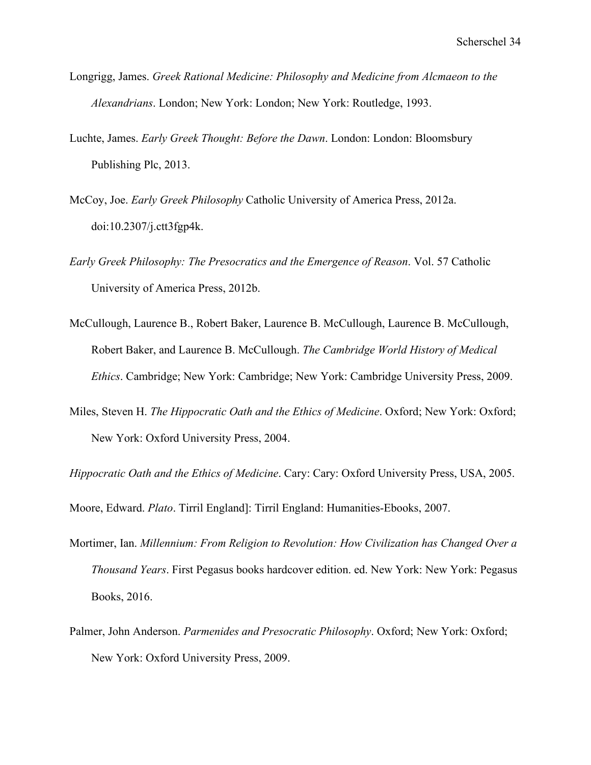- Longrigg, James. *Greek Rational Medicine: Philosophy and Medicine from Alcmaeon to the Alexandrians*. London; New York: London; New York: Routledge, 1993.
- Luchte, James. *Early Greek Thought: Before the Dawn*. London: London: Bloomsbury Publishing Plc, 2013.
- McCoy, Joe. *Early Greek Philosophy* Catholic University of America Press, 2012a. doi:10.2307/j.ctt3fgp4k.
- *Early Greek Philosophy: The Presocratics and the Emergence of Reason*. Vol. 57 Catholic University of America Press, 2012b.
- McCullough, Laurence B., Robert Baker, Laurence B. McCullough, Laurence B. McCullough, Robert Baker, and Laurence B. McCullough. *The Cambridge World History of Medical Ethics*. Cambridge; New York: Cambridge; New York: Cambridge University Press, 2009.
- Miles, Steven H. *The Hippocratic Oath and the Ethics of Medicine*. Oxford; New York: Oxford; New York: Oxford University Press, 2004.

*Hippocratic Oath and the Ethics of Medicine*. Cary: Cary: Oxford University Press, USA, 2005.

Moore, Edward. *Plato*. Tirril England]: Tirril England: Humanities-Ebooks, 2007.

- Mortimer, Ian. *Millennium: From Religion to Revolution: How Civilization has Changed Over a Thousand Years*. First Pegasus books hardcover edition. ed. New York: New York: Pegasus Books, 2016.
- Palmer, John Anderson. *Parmenides and Presocratic Philosophy*. Oxford; New York: Oxford; New York: Oxford University Press, 2009.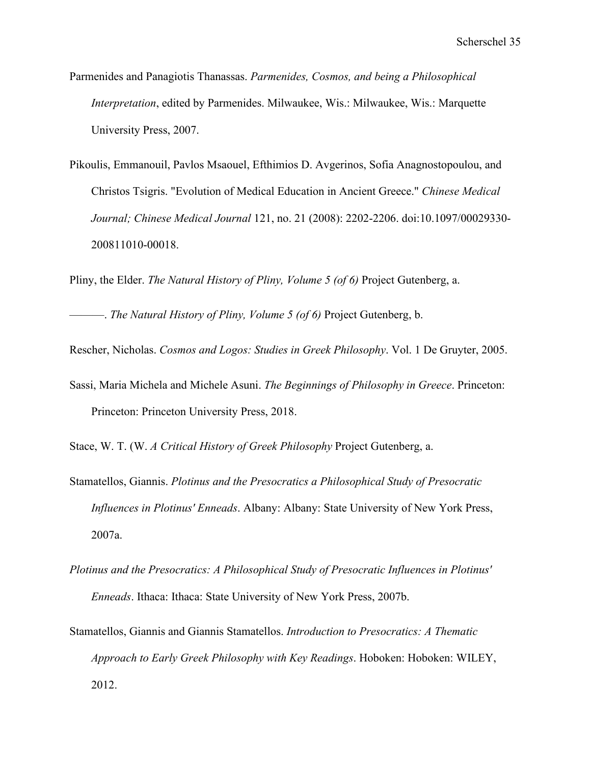- Parmenides and Panagiotis Thanassas. *Parmenides, Cosmos, and being a Philosophical Interpretation*, edited by Parmenides. Milwaukee, Wis.: Milwaukee, Wis.: Marquette University Press, 2007.
- Pikoulis, Emmanouil, Pavlos Msaouel, Efthimios D. Avgerinos, Sofia Anagnostopoulou, and Christos Tsigris. "Evolution of Medical Education in Ancient Greece." *Chinese Medical Journal; Chinese Medical Journal* 121, no. 21 (2008): 2202-2206. doi:10.1097/00029330- 200811010-00018.

Pliny, the Elder. *The Natural History of Pliny, Volume 5 (of 6)* Project Gutenberg, a.

———. *The Natural History of Pliny, Volume 5 (of 6)* Project Gutenberg, b.

Rescher, Nicholas. *Cosmos and Logos: Studies in Greek Philosophy*. Vol. 1 De Gruyter, 2005.

Sassi, Maria Michela and Michele Asuni. *The Beginnings of Philosophy in Greece*. Princeton: Princeton: Princeton University Press, 2018.

Stace, W. T. (W. *A Critical History of Greek Philosophy* Project Gutenberg, a.

- Stamatellos, Giannis. *Plotinus and the Presocratics a Philosophical Study of Presocratic Influences in Plotinus' Enneads*. Albany: Albany: State University of New York Press, 2007a.
- *Plotinus and the Presocratics: A Philosophical Study of Presocratic Influences in Plotinus' Enneads*. Ithaca: Ithaca: State University of New York Press, 2007b.
- Stamatellos, Giannis and Giannis Stamatellos. *Introduction to Presocratics: A Thematic Approach to Early Greek Philosophy with Key Readings*. Hoboken: Hoboken: WILEY, 2012.